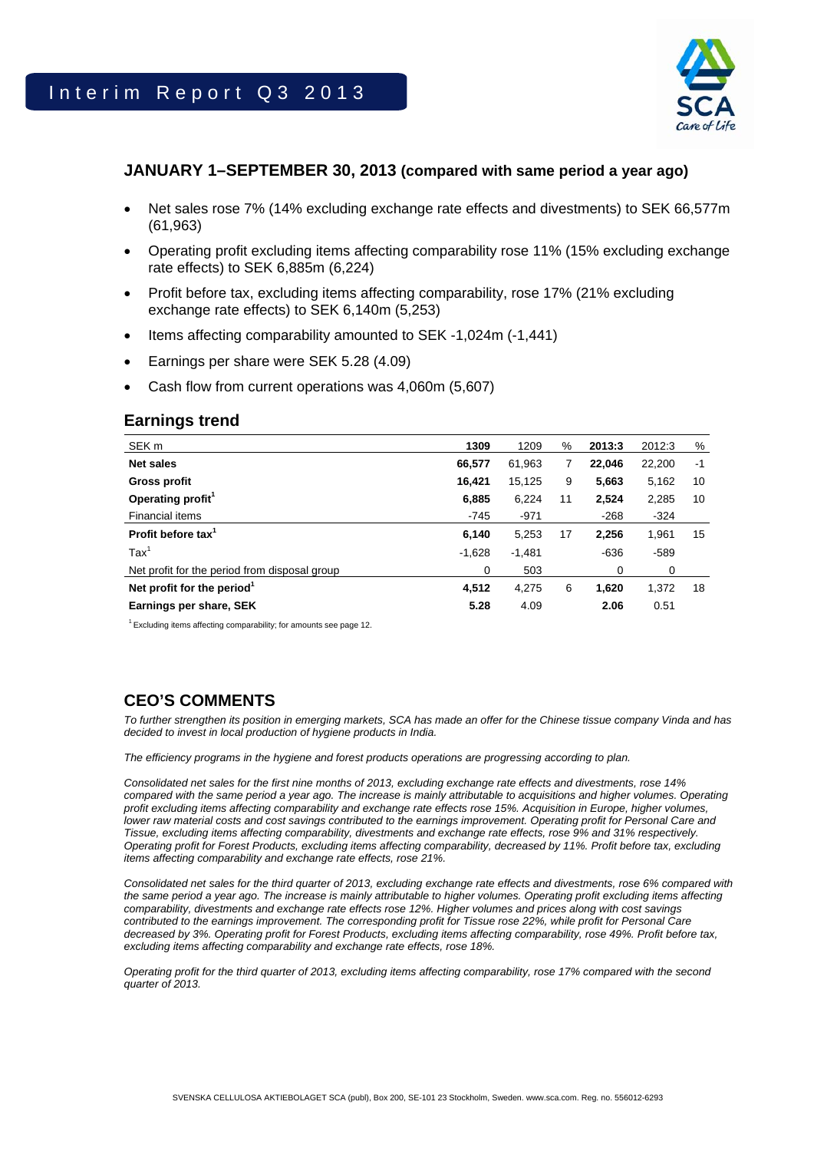

### **JANUARY 1–SEPTEMBER 30, 2013 (compared with same period a year ago)**

- Net sales rose 7% (14% excluding exchange rate effects and divestments) to SEK 66,577m (61,963)
- Operating profit excluding items affecting comparability rose 11% (15% excluding exchange rate effects) to SEK 6,885m (6,224)
- Profit before tax, excluding items affecting comparability, rose 17% (21% excluding exchange rate effects) to SEK 6,140m (5,253)
- Items affecting comparability amounted to SEK -1,024m (-1,441)
- Earnings per share were SEK 5.28 (4.09)
- Cash flow from current operations was 4,060m (5,607)

### **Earnings trend**

| SEK <sub>m</sub>                              | 1309     | 1209     | %  | 2013:3 | 2012:3 | %    |
|-----------------------------------------------|----------|----------|----|--------|--------|------|
| <b>Net sales</b>                              | 66,577   | 61,963   | 7  | 22,046 | 22,200 | $-1$ |
| Gross profit                                  | 16,421   | 15,125   | 9  | 5,663  | 5,162  | 10   |
| Operating profit <sup>1</sup>                 | 6,885    | 6,224    | 11 | 2,524  | 2,285  | 10   |
| Financial items                               | $-745$   | $-971$   |    | $-268$ | $-324$ |      |
| Profit before tax <sup>1</sup>                | 6,140    | 5,253    | 17 | 2,256  | 1,961  | 15   |
| $\text{Tax}^1$                                | $-1,628$ | $-1,481$ |    | $-636$ | $-589$ |      |
| Net profit for the period from disposal group | 0        | 503      |    | 0      | 0      |      |
| Net profit for the period <sup>1</sup>        | 4,512    | 4,275    | 6  | 1,620  | 1,372  | 18   |
| Earnings per share, SEK                       | 5.28     | 4.09     |    | 2.06   | 0.51   |      |

<sup>1</sup> Excluding items affecting comparability; for amounts see page 12.

## **CEO'S COMMENTS**

*To further strengthen its position in emerging markets, SCA has made an offer for the Chinese tissue company Vinda and has decided to invest in local production of hygiene products in India.* 

*The efficiency programs in the hygiene and forest products operations are progressing according to plan.* 

*Consolidated net sales for the first nine months of 2013, excluding exchange rate effects and divestments, rose 14% compared with the same period a year ago. The increase is mainly attributable to acquisitions and higher volumes. Operating profit excluding items affecting comparability and exchange rate effects rose 15%. Acquisition in Europe, higher volumes, lower raw material costs and cost savings contributed to the earnings improvement. Operating profit for Personal Care and Tissue, excluding items affecting comparability, divestments and exchange rate effects, rose 9% and 31% respectively. Operating profit for Forest Products, excluding items affecting comparability, decreased by 11%. Profit before tax, excluding items affecting comparability and exchange rate effects, rose 21%.* 

*Consolidated net sales for the third quarter of 2013, excluding exchange rate effects and divestments, rose 6% compared with the same period a year ago. The increase is mainly attributable to higher volumes. Operating profit excluding items affecting comparability, divestments and exchange rate effects rose 12%. Higher volumes and prices along with cost savings contributed to the earnings improvement. The corresponding profit for Tissue rose 22%, while profit for Personal Care decreased by 3%. Operating profit for Forest Products, excluding items affecting comparability, rose 49%. Profit before tax, excluding items affecting comparability and exchange rate effects, rose 18%.* 

*Operating profit for the third quarter of 2013, excluding items affecting comparability, rose 17% compared with the second quarter of 2013.*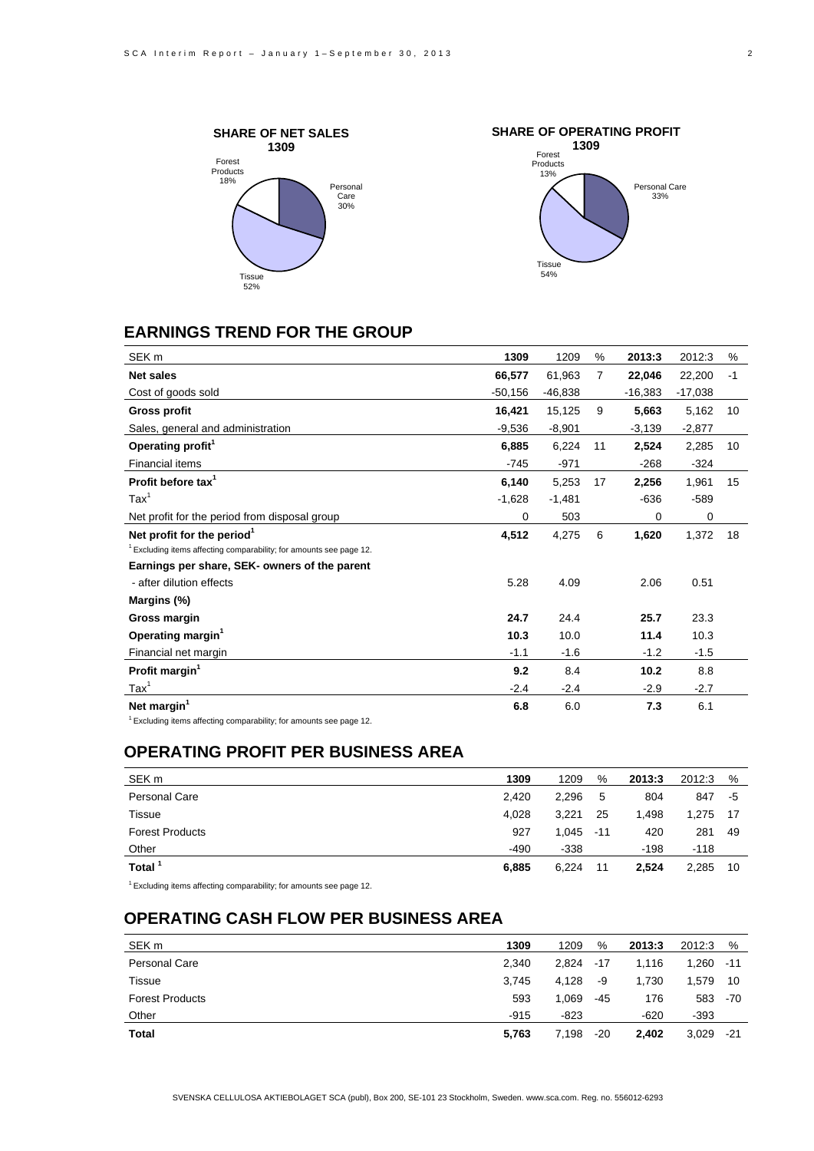



## **EARNINGS TREND FOR THE GROUP**

| SEK <sub>m</sub>                                                      | 1309      | 1209      | %  | 2013:3    | 2012:3    | %  |
|-----------------------------------------------------------------------|-----------|-----------|----|-----------|-----------|----|
| <b>Net sales</b>                                                      | 66,577    | 61,963    | 7  | 22,046    | 22,200    | -1 |
| Cost of goods sold                                                    | $-50,156$ | $-46,838$ |    | $-16,383$ | $-17,038$ |    |
| Gross profit                                                          | 16,421    | 15,125    | 9  | 5,663     | 5,162     | 10 |
| Sales, general and administration                                     | $-9,536$  | $-8,901$  |    | $-3,139$  | $-2,877$  |    |
| Operating profit <sup>1</sup>                                         | 6,885     | 6,224     | 11 | 2,524     | 2,285     | 10 |
| Financial items                                                       | $-745$    | $-971$    |    | $-268$    | $-324$    |    |
| Profit before tax <sup>1</sup>                                        | 6,140     | 5,253     | 17 | 2,256     | 1,961     | 15 |
| $\text{Tax}^1$                                                        | $-1,628$  | $-1,481$  |    | $-636$    | $-589$    |    |
| Net profit for the period from disposal group                         | 0         | 503       |    | 0         | 0         |    |
| Net profit for the period <sup>1</sup>                                | 4,512     | 4,275     | 6  | 1,620     | 1,372     | 18 |
| $1$ Excluding items affecting comparability; for amounts see page 12. |           |           |    |           |           |    |
| Earnings per share, SEK- owners of the parent                         |           |           |    |           |           |    |
| - after dilution effects                                              | 5.28      | 4.09      |    | 2.06      | 0.51      |    |
| Margins (%)                                                           |           |           |    |           |           |    |
| Gross margin                                                          | 24.7      | 24.4      |    | 25.7      | 23.3      |    |
| Operating margin <sup>1</sup>                                         | 10.3      | 10.0      |    | 11.4      | 10.3      |    |
| Financial net margin                                                  | $-1.1$    | $-1.6$    |    | $-1.2$    | $-1.5$    |    |
| Profit margin <sup>1</sup>                                            | 9.2       | 8.4       |    | 10.2      | 8.8       |    |
| $\text{Tax}^1$                                                        | $-2.4$    | $-2.4$    |    | $-2.9$    | $-2.7$    |    |
| Net margin <sup>1</sup><br>$1 - \cdot \cdot \cdot$                    | 6.8       | 6.0       |    | 7.3       | 6.1       |    |

1 Excluding items affecting comparability; for amounts see page 12.

#### **OPERATING PROFIT PER BUSINESS AREA**

| SEK <sub>m</sub>       | 1309   | 1209   | %     | 2013:3 | 2012:3 | %   |
|------------------------|--------|--------|-------|--------|--------|-----|
| Personal Care          | 2.420  | 2,296  | -5    | 804    | 847    | -5  |
| Tissue                 | 4,028  | 3,221  | 25    | 1,498  | 1,275  | -17 |
| <b>Forest Products</b> | 927    | 1.045  | $-11$ | 420    | 281    | 49  |
| <b>Other</b>           | $-490$ | $-338$ |       | $-198$ | $-118$ |     |
| Total <sup>1</sup>     | 6,885  | 6.224  | 11    | 2.524  | 2.285  | 10  |
| $\sim$                 |        |        |       |        |        |     |

 $1$  Excluding items affecting comparability; for amounts see page 12.

### **OPERATING CASH FLOW PER BUSINESS AREA**

| SEK <sub>m</sub>       | 1309   | 1209  | %     | 2013:3 | 2012:3      | %     |
|------------------------|--------|-------|-------|--------|-------------|-------|
| <b>Personal Care</b>   | 2.340  | 2.824 | -17   | 1.116  | $1,260 -11$ |       |
| Tissue                 | 3.745  | 4,128 | -9    | 1,730  | 1.579       | 10    |
| <b>Forest Products</b> | 593    | 1,069 | -45   | 176    | 583         | -70   |
| Other                  | $-915$ | -823  |       | $-620$ | $-393$      |       |
| Total                  | 5,763  | 7,198 | $-20$ | 2,402  | 3,029       | $-21$ |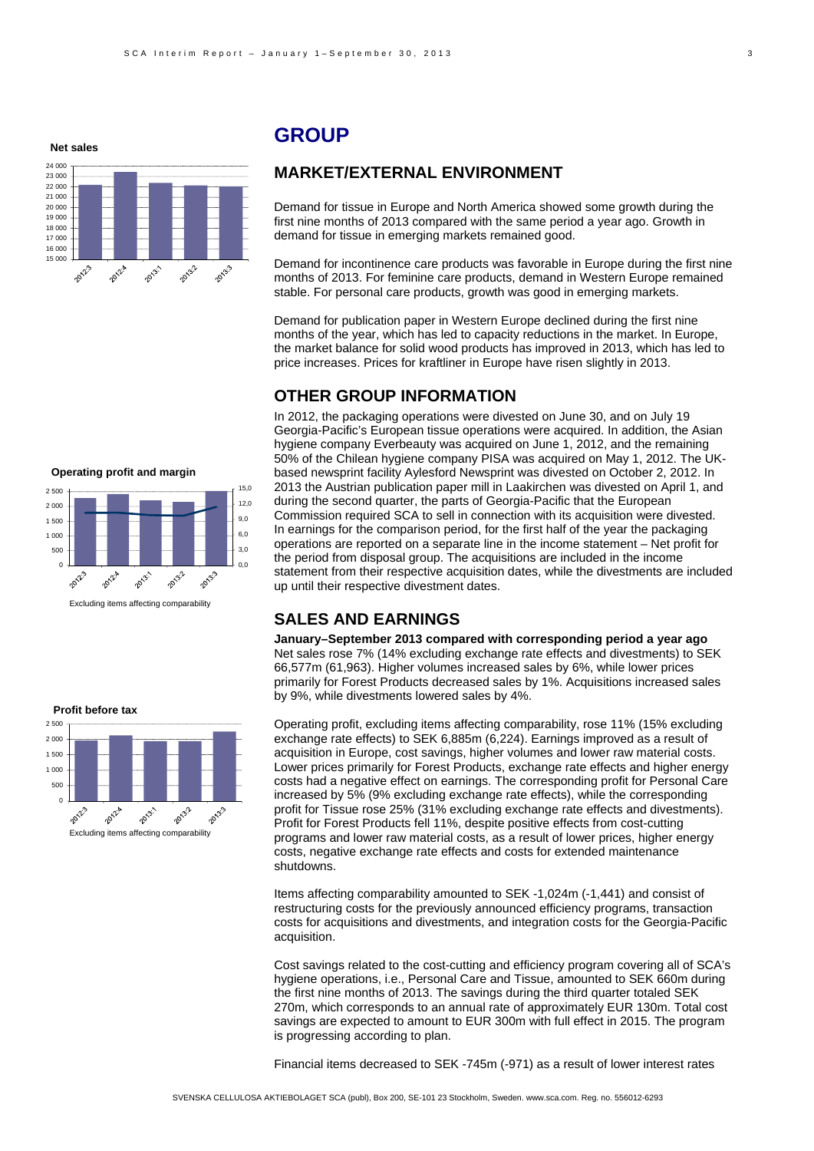**Net sales**



### **GROUP**

#### **MARKET/EXTERNAL ENVIRONMENT**

Demand for tissue in Europe and North America showed some growth during the first nine months of 2013 compared with the same period a year ago. Growth in demand for tissue in emerging markets remained good.

Demand for incontinence care products was favorable in Europe during the first nine months of 2013. For feminine care products, demand in Western Europe remained stable. For personal care products, growth was good in emerging markets.

Demand for publication paper in Western Europe declined during the first nine months of the year, which has led to capacity reductions in the market. In Europe, the market balance for solid wood products has improved in 2013, which has led to price increases. Prices for kraftliner in Europe have risen slightly in 2013.

### **OTHER GROUP INFORMATION**

In 2012, the packaging operations were divested on June 30, and on July 19 Georgia-Pacific's European tissue operations were acquired. In addition, the Asian hygiene company Everbeauty was acquired on June 1, 2012, and the remaining 50% of the Chilean hygiene company PISA was acquired on May 1, 2012. The UKbased newsprint facility Aylesford Newsprint was divested on October 2, 2012. In 2013 the Austrian publication paper mill in Laakirchen was divested on April 1, and during the second quarter, the parts of Georgia-Pacific that the European Commission required SCA to sell in connection with its acquisition were divested. In earnings for the comparison period, for the first half of the year the packaging operations are reported on a separate line in the income statement – Net profit for the period from disposal group. The acquisitions are included in the income statement from their respective acquisition dates, while the divestments are included up until their respective divestment dates.

#### **SALES AND EARNINGS**

**January–September 2013 compared with corresponding period a year ago**  Net sales rose 7% (14% excluding exchange rate effects and divestments) to SEK 66,577m (61,963). Higher volumes increased sales by 6%, while lower prices primarily for Forest Products decreased sales by 1%. Acquisitions increased sales by 9%, while divestments lowered sales by 4%.

Operating profit, excluding items affecting comparability, rose 11% (15% excluding exchange rate effects) to SEK 6,885m (6,224). Earnings improved as a result of acquisition in Europe, cost savings, higher volumes and lower raw material costs. Lower prices primarily for Forest Products, exchange rate effects and higher energy costs had a negative effect on earnings. The corresponding profit for Personal Care increased by 5% (9% excluding exchange rate effects), while the corresponding profit for Tissue rose 25% (31% excluding exchange rate effects and divestments). Profit for Forest Products fell 11%, despite positive effects from cost-cutting programs and lower raw material costs, as a result of lower prices, higher energy costs, negative exchange rate effects and costs for extended maintenance shutdowns.

Items affecting comparability amounted to SEK -1,024m (-1,441) and consist of restructuring costs for the previously announced efficiency programs, transaction costs for acquisitions and divestments, and integration costs for the Georgia-Pacific acquisition.

Cost savings related to the cost-cutting and efficiency program covering all of SCA's hygiene operations, i.e., Personal Care and Tissue, amounted to SEK 660m during the first nine months of 2013. The savings during the third quarter totaled SEK 270m, which corresponds to an annual rate of approximately EUR 130m. Total cost savings are expected to amount to EUR 300m with full effect in 2015. The program is progressing according to plan.

Financial items decreased to SEK -745m (-971) as a result of lower interest rates

0 20132 2012-2012-8 2013-2013: Excluding items affecting comparability

**Operating profit and margin**

 $0.0$ 3,0 6,0 9,0  $12.0$ 15,0

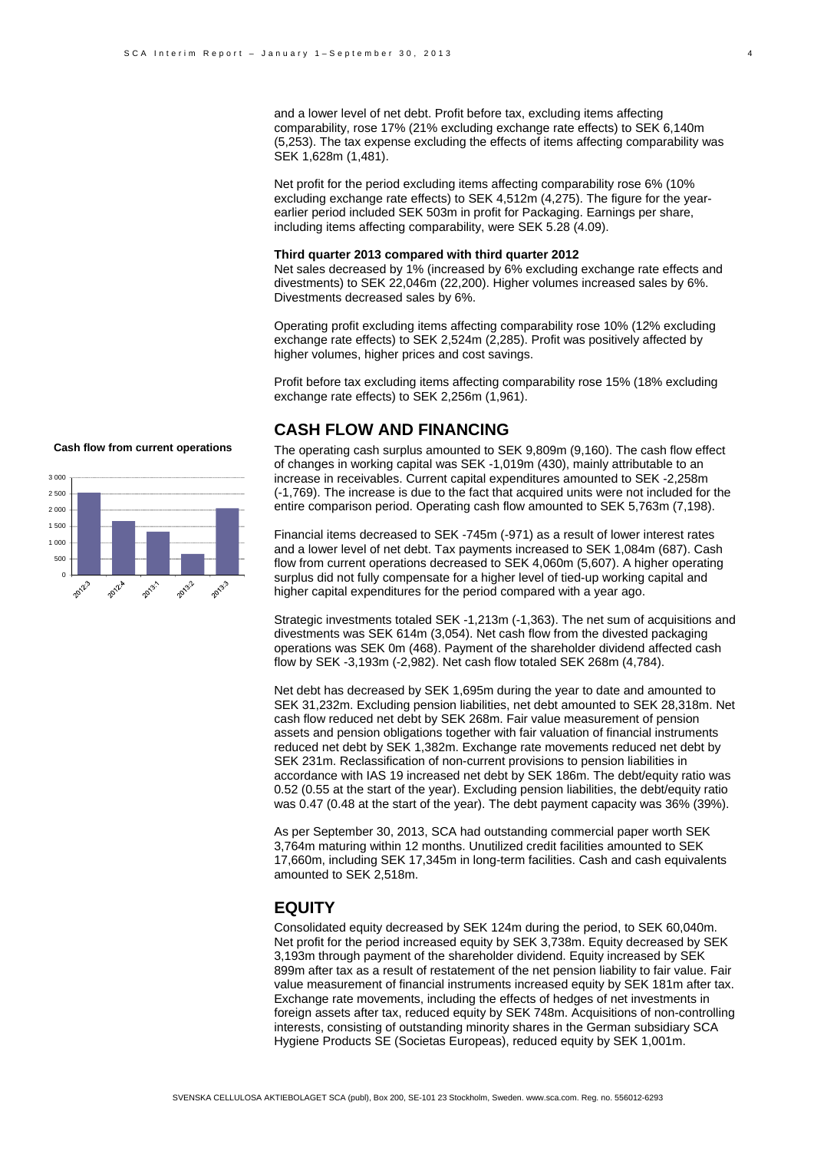and a lower level of net debt. Profit before tax, excluding items affecting comparability, rose 17% (21% excluding exchange rate effects) to SEK 6,140m (5,253). The tax expense excluding the effects of items affecting comparability was SEK 1,628m (1,481).

Net profit for the period excluding items affecting comparability rose 6% (10% excluding exchange rate effects) to SEK 4,512m (4,275). The figure for the yearearlier period included SEK 503m in profit for Packaging. Earnings per share, including items affecting comparability, were SEK 5.28 (4.09).

#### **Third quarter 2013 compared with third quarter 2012**

Net sales decreased by 1% (increased by 6% excluding exchange rate effects and divestments) to SEK 22,046m (22,200). Higher volumes increased sales by 6%. Divestments decreased sales by 6%.

Operating profit excluding items affecting comparability rose 10% (12% excluding exchange rate effects) to SEK 2,524m (2,285). Profit was positively affected by higher volumes, higher prices and cost savings.

Profit before tax excluding items affecting comparability rose 15% (18% excluding exchange rate effects) to SEK 2,256m (1,961).

#### **CASH FLOW AND FINANCING**

The operating cash surplus amounted to SEK 9,809m (9,160). The cash flow effect of changes in working capital was SEK -1,019m (430), mainly attributable to an increase in receivables. Current capital expenditures amounted to SEK -2,258m (-1,769). The increase is due to the fact that acquired units were not included for the entire comparison period. Operating cash flow amounted to SEK 5,763m (7,198).

Financial items decreased to SEK -745m (-971) as a result of lower interest rates and a lower level of net debt. Tax payments increased to SEK 1,084m (687). Cash flow from current operations decreased to SEK 4,060m (5,607). A higher operating surplus did not fully compensate for a higher level of tied-up working capital and higher capital expenditures for the period compared with a year ago.

Strategic investments totaled SEK -1,213m (-1,363). The net sum of acquisitions and divestments was SEK 614m (3,054). Net cash flow from the divested packaging operations was SEK 0m (468). Payment of the shareholder dividend affected cash flow by SEK -3,193m (-2,982). Net cash flow totaled SEK 268m (4,784).

Net debt has decreased by SEK 1,695m during the year to date and amounted to SEK 31,232m. Excluding pension liabilities, net debt amounted to SEK 28,318m. Net cash flow reduced net debt by SEK 268m. Fair value measurement of pension assets and pension obligations together with fair valuation of financial instruments reduced net debt by SEK 1,382m. Exchange rate movements reduced net debt by SEK 231m. Reclassification of non-current provisions to pension liabilities in accordance with IAS 19 increased net debt by SEK 186m. The debt/equity ratio was 0.52 (0.55 at the start of the year). Excluding pension liabilities, the debt/equity ratio was 0.47 (0.48 at the start of the year). The debt payment capacity was 36% (39%).

As per September 30, 2013, SCA had outstanding commercial paper worth SEK 3,764m maturing within 12 months. Unutilized credit facilities amounted to SEK 17,660m, including SEK 17,345m in long-term facilities. Cash and cash equivalents amounted to SEK 2,518m.

#### **EQUITY**

Consolidated equity decreased by SEK 124m during the period, to SEK 60,040m. Net profit for the period increased equity by SEK 3,738m. Equity decreased by SEK 3,193m through payment of the shareholder dividend. Equity increased by SEK 899m after tax as a result of restatement of the net pension liability to fair value. Fair value measurement of financial instruments increased equity by SEK 181m after tax. Exchange rate movements, including the effects of hedges of net investments in foreign assets after tax, reduced equity by SEK 748m. Acquisitions of non-controlling interests, consisting of outstanding minority shares in the German subsidiary SCA Hygiene Products SE (Societas Europeas), reduced equity by SEK 1,001m.



**Cash flow from current operations**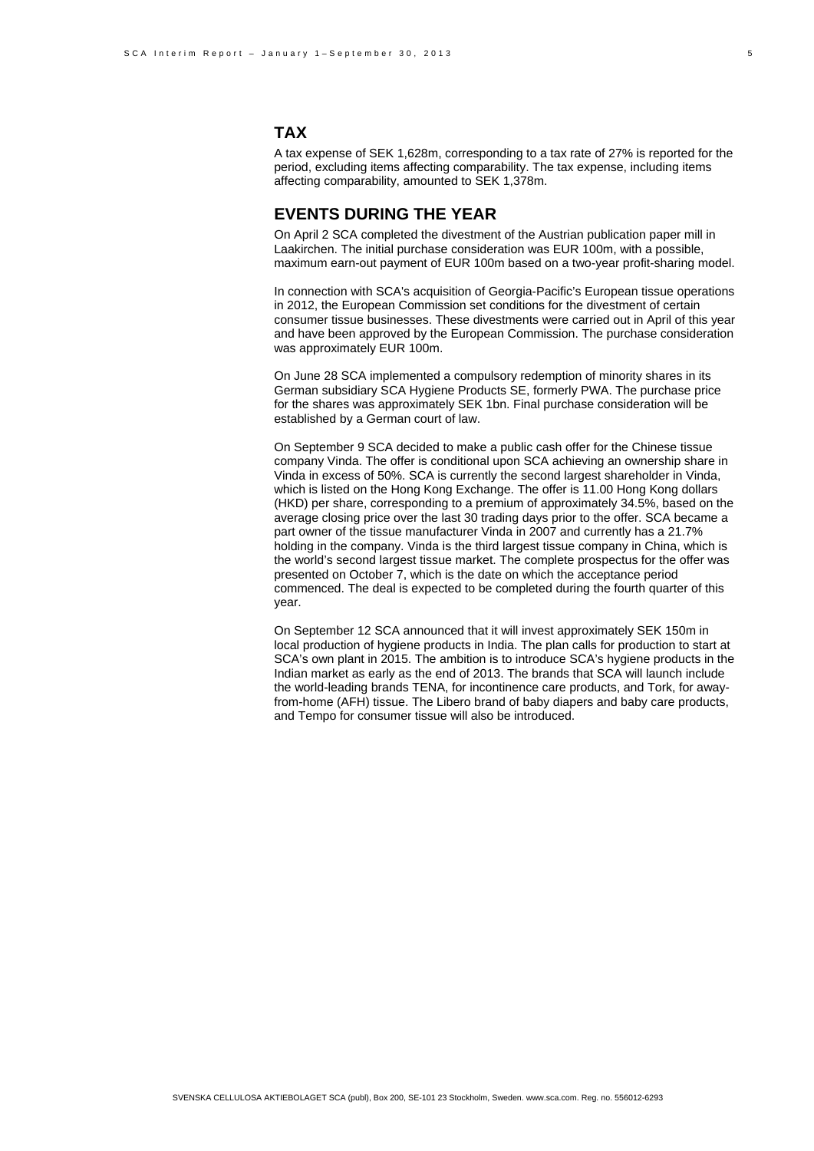### **TAX**

A tax expense of SEK 1,628m, corresponding to a tax rate of 27% is reported for the period, excluding items affecting comparability. The tax expense, including items affecting comparability, amounted to SEK 1,378m.

#### **EVENTS DURING THE YEAR**

On April 2 SCA completed the divestment of the Austrian publication paper mill in Laakirchen. The initial purchase consideration was EUR 100m, with a possible, maximum earn-out payment of EUR 100m based on a two-year profit-sharing model.

In connection with SCA's acquisition of Georgia-Pacific's European tissue operations in 2012, the European Commission set conditions for the divestment of certain consumer tissue businesses. These divestments were carried out in April of this year and have been approved by the European Commission. The purchase consideration was approximately EUR 100m.

On June 28 SCA implemented a compulsory redemption of minority shares in its German subsidiary SCA Hygiene Products SE, formerly PWA. The purchase price for the shares was approximately SEK 1bn. Final purchase consideration will be established by a German court of law.

On September 9 SCA decided to make a public cash offer for the Chinese tissue company Vinda. The offer is conditional upon SCA achieving an ownership share in Vinda in excess of 50%. SCA is currently the second largest shareholder in Vinda, which is listed on the Hong Kong Exchange. The offer is 11.00 Hong Kong dollars (HKD) per share, corresponding to a premium of approximately 34.5%, based on the average closing price over the last 30 trading days prior to the offer. SCA became a part owner of the tissue manufacturer Vinda in 2007 and currently has a 21.7% holding in the company. Vinda is the third largest tissue company in China, which is the world's second largest tissue market. The complete prospectus for the offer was presented on October 7, which is the date on which the acceptance period commenced. The deal is expected to be completed during the fourth quarter of this year.

On September 12 SCA announced that it will invest approximately SEK 150m in local production of hygiene products in India. The plan calls for production to start at SCA's own plant in 2015. The ambition is to introduce SCA's hygiene products in the Indian market as early as the end of 2013. The brands that SCA will launch include the world-leading brands TENA, for incontinence care products, and Tork, for awayfrom-home (AFH) tissue. The Libero brand of baby diapers and baby care products, and Tempo for consumer tissue will also be introduced.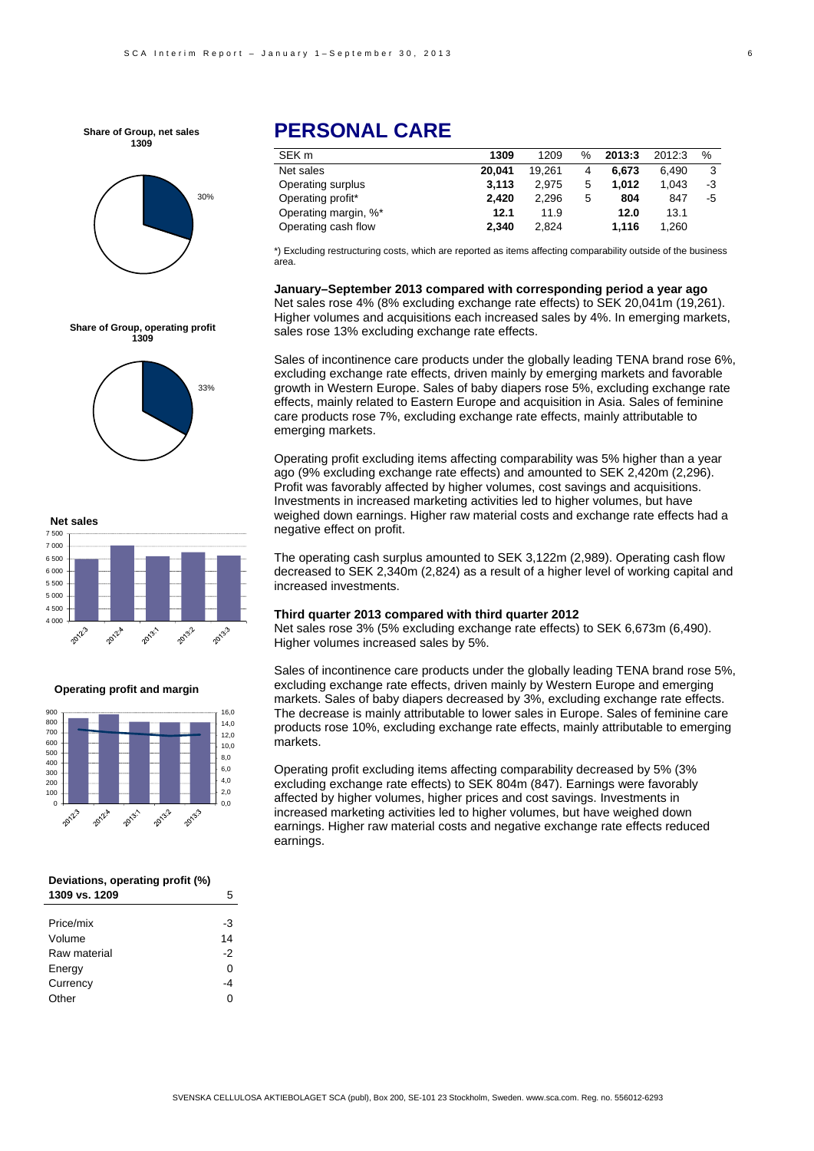**Share of Group, net sales 1309**



## **PERSONAL CARE**

| 1309   | 1209   | $\%$ | 2013:3 | 2012:3 | %  |
|--------|--------|------|--------|--------|----|
| 20.041 | 19.261 | 4    | 6.673  | 6.490  | 3  |
| 3.113  | 2.975  | 5    | 1.012  | 1.043  | -3 |
| 2.420  | 2.296  | 5    | 804    | 847    | -5 |
| 12.1   | 11.9   |      | 12.0   | 13.1   |    |
| 2.340  | 2.824  |      | 1.116  | 1.260  |    |
|        |        |      |        |        |    |

\*) Excluding restructuring costs, which are reported as items affecting comparability outside of the business area.

**January–September 2013 compared with corresponding period a year ago**  Net sales rose 4% (8% excluding exchange rate effects) to SEK 20,041m (19,261). Higher volumes and acquisitions each increased sales by 4%. In emerging markets, sales rose 13% excluding exchange rate effects.

Sales of incontinence care products under the globally leading TENA brand rose 6%, excluding exchange rate effects, driven mainly by emerging markets and favorable growth in Western Europe. Sales of baby diapers rose 5%, excluding exchange rate effects, mainly related to Eastern Europe and acquisition in Asia. Sales of feminine care products rose 7%, excluding exchange rate effects, mainly attributable to emerging markets.

Operating profit excluding items affecting comparability was 5% higher than a year ago (9% excluding exchange rate effects) and amounted to SEK 2,420m (2,296). Profit was favorably affected by higher volumes, cost savings and acquisitions. Investments in increased marketing activities led to higher volumes, but have weighed down earnings. Higher raw material costs and exchange rate effects had a negative effect on profit.

The operating cash surplus amounted to SEK 3,122m (2,989). Operating cash flow decreased to SEK 2,340m (2,824) as a result of a higher level of working capital and increased investments.

#### **Third quarter 2013 compared with third quarter 2012**

Net sales rose 3% (5% excluding exchange rate effects) to SEK 6,673m (6,490). Higher volumes increased sales by 5%.

Sales of incontinence care products under the globally leading TENA brand rose 5%, excluding exchange rate effects, driven mainly by Western Europe and emerging markets. Sales of baby diapers decreased by 3%, excluding exchange rate effects. The decrease is mainly attributable to lower sales in Europe. Sales of feminine care products rose 10%, excluding exchange rate effects, mainly attributable to emerging markets.

Operating profit excluding items affecting comparability decreased by 5% (3% excluding exchange rate effects) to SEK 804m (847). Earnings were favorably affected by higher volumes, higher prices and cost savings. Investments in increased marketing activities led to higher volumes, but have weighed down earnings. Higher raw material costs and negative exchange rate effects reduced earnings.

**Share of Group, operating profit 1309**





**Operating profit and margin**



| Deviations, operating profit (%) |   |
|----------------------------------|---|
| 1309 vs. 1209                    | 5 |

| -3 |
|----|
| 14 |
| -2 |
| 0  |
| -4 |
| ი  |
|    |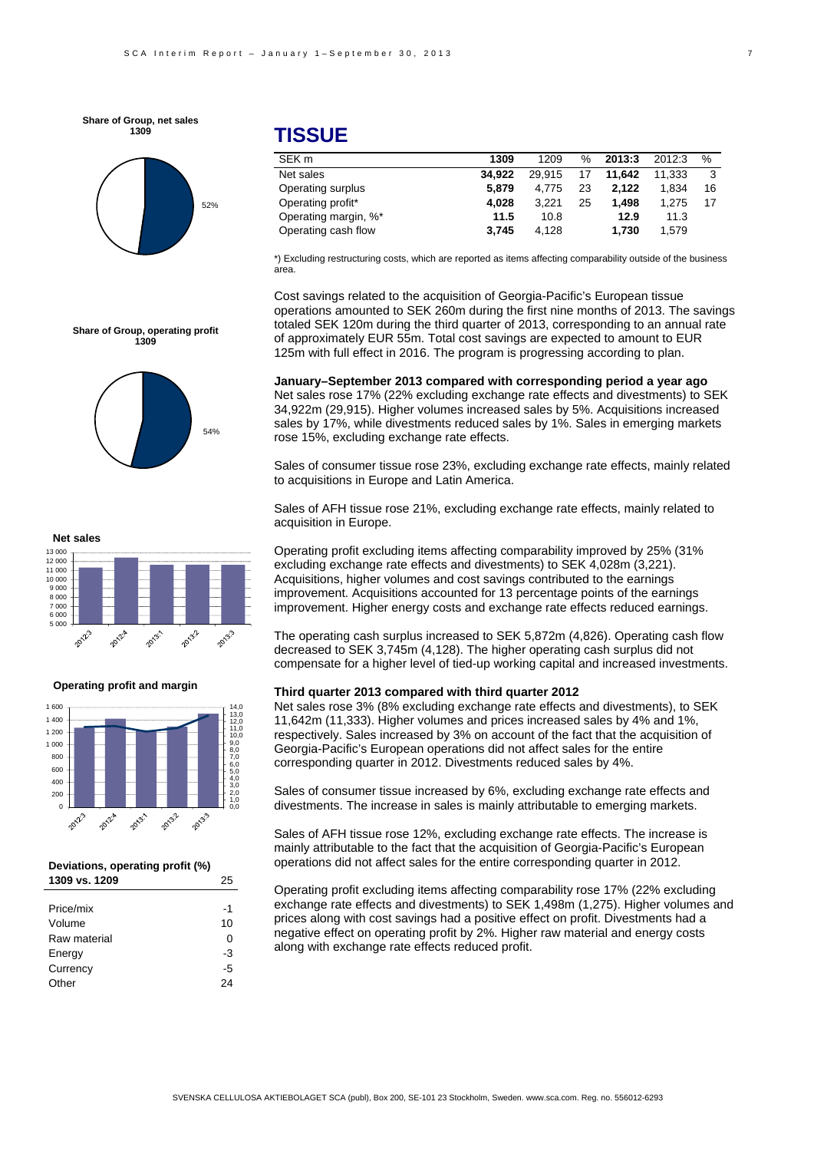**Share of Group, net sales 1309**



**Share of Group, operating profit 1309**

### **TISSUE**

| SEK <sub>m</sub>     | 1309   | 1209   | $\%$ | 2013:3 | 2012:3 | %  |
|----------------------|--------|--------|------|--------|--------|----|
| Net sales            | 34.922 | 29.915 | 17   | 11.642 | 11.333 | -3 |
| Operating surplus    | 5.879  | 4.775  | 23   | 2.122  | 1.834  | 16 |
| Operating profit*    | 4.028  | 3.221  | 25   | 1.498  | 1.275  | 17 |
| Operating margin, %* | 11.5   | 10.8   |      | 12.9   | 11.3   |    |
| Operating cash flow  | 3.745  | 4.128  |      | 1.730  | 1.579  |    |

\*) Excluding restructuring costs, which are reported as items affecting comparability outside of the business area.

Cost savings related to the acquisition of Georgia-Pacific's European tissue operations amounted to SEK 260m during the first nine months of 2013. The savings totaled SEK 120m during the third quarter of 2013, corresponding to an annual rate of approximately EUR 55m. Total cost savings are expected to amount to EUR 125m with full effect in 2016. The program is progressing according to plan.

**January–September 2013 compared with corresponding period a year ago**  Net sales rose 17% (22% excluding exchange rate effects and divestments) to SEK 34,922m (29,915). Higher volumes increased sales by 5%. Acquisitions increased sales by 17%, while divestments reduced sales by 1%. Sales in emerging markets rose 15%, excluding exchange rate effects.

Sales of consumer tissue rose 23%, excluding exchange rate effects, mainly related to acquisitions in Europe and Latin America.

Sales of AFH tissue rose 21%, excluding exchange rate effects, mainly related to acquisition in Europe.

Operating profit excluding items affecting comparability improved by 25% (31% excluding exchange rate effects and divestments) to SEK 4,028m (3,221). Acquisitions, higher volumes and cost savings contributed to the earnings improvement. Acquisitions accounted for 13 percentage points of the earnings improvement. Higher energy costs and exchange rate effects reduced earnings.

The operating cash surplus increased to SEK 5,872m (4,826). Operating cash flow decreased to SEK 3,745m (4,128). The higher operating cash surplus did not compensate for a higher level of tied-up working capital and increased investments.

#### **Third quarter 2013 compared with third quarter 2012**

Net sales rose 3% (8% excluding exchange rate effects and divestments), to SEK 11,642m (11,333). Higher volumes and prices increased sales by 4% and 1%, respectively. Sales increased by 3% on account of the fact that the acquisition of Georgia-Pacific's European operations did not affect sales for the entire corresponding quarter in 2012. Divestments reduced sales by 4%.

Sales of consumer tissue increased by 6%, excluding exchange rate effects and divestments. The increase in sales is mainly attributable to emerging markets.

Sales of AFH tissue rose 12%, excluding exchange rate effects. The increase is mainly attributable to the fact that the acquisition of Georgia-Pacific's European operations did not affect sales for the entire corresponding quarter in 2012.

Operating profit excluding items affecting comparability rose 17% (22% excluding exchange rate effects and divestments) to SEK 1,498m (1,275). Higher volumes and prices along with cost savings had a positive effect on profit. Divestments had a negative effect on operating profit by 2%. Higher raw material and energy costs along with exchange rate effects reduced profit.



54%

**Operating profit and margin**



| Deviations, operating profit (%) |    |
|----------------------------------|----|
| 1309 vs. 1209                    | 25 |

| Price/mix    | -1 |
|--------------|----|
| Volume       | 10 |
| Raw material | 0  |
| Energy       | -3 |
| Currency     | -5 |
| Other        | 2Δ |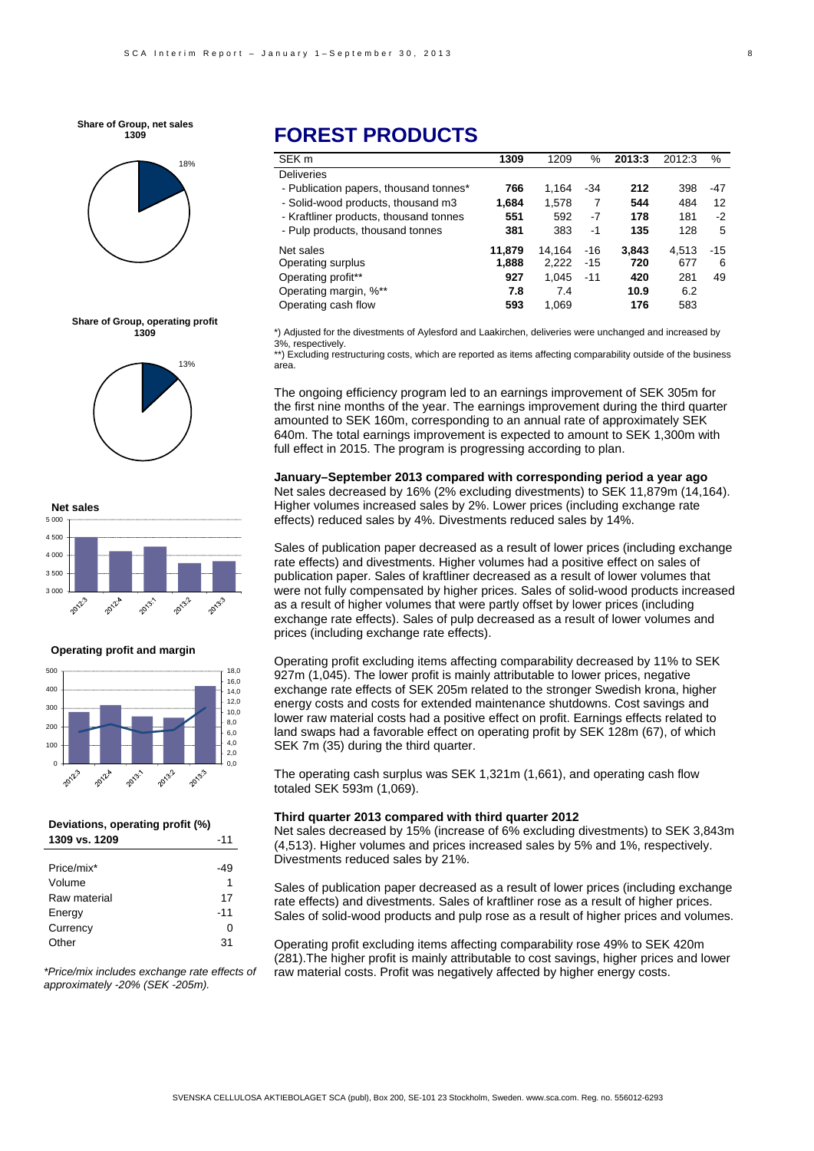**Share of Group, net sales 1309**



#### **Share of Group, operating profit 1309**





#### **Operating profit and margin**



#### **Deviations, operating profit (%) 1309 vs. 1209** -11

| Price/mix*   | -49   |
|--------------|-------|
| Volume       | 1     |
| Raw material | 17    |
| Energy       | $-11$ |
| Currency     | 0     |
| Other        | 31    |

*\*Price/mix includes exchange rate effects of approximately -20% (SEK -205m).* 

## **FOREST PRODUCTS**

| SEK <sub>m</sub>                       | 1309   | 1209   | %     | 2013:3 | 2012:3 | %     |
|----------------------------------------|--------|--------|-------|--------|--------|-------|
| <b>Deliveries</b>                      |        |        |       |        |        |       |
| - Publication papers, thousand tonnes* | 766    | 1.164  | -34   | 212    | 398    | -47   |
| - Solid-wood products, thousand m3     | 1,684  | 1,578  | 7     | 544    | 484    | 12    |
| - Kraftliner products, thousand tonnes | 551    | 592    | $-7$  | 178    | 181    | $-2$  |
| - Pulp products, thousand tonnes       | 381    | 383    | -1    | 135    | 128    | 5     |
| Net sales                              | 11.879 | 14.164 | $-16$ | 3,843  | 4.513  | $-15$ |
| Operating surplus                      | 1,888  | 2.222  | $-15$ | 720    | 677    | 6     |
| Operating profit**                     | 927    | 1.045  | $-11$ | 420    | 281    | 49    |
| Operating margin, %**                  | 7.8    | 7.4    |       | 10.9   | 6.2    |       |
| Operating cash flow                    | 593    | 1.069  |       | 176    | 583    |       |

\*) Adjusted for the divestments of Aylesford and Laakirchen, deliveries were unchanged and increased by 3%, respectively.

\*\*) Excluding restructuring costs, which are reported as items affecting comparability outside of the business area.

The ongoing efficiency program led to an earnings improvement of SEK 305m for the first nine months of the year. The earnings improvement during the third quarter amounted to SEK 160m, corresponding to an annual rate of approximately SEK 640m. The total earnings improvement is expected to amount to SEK 1,300m with full effect in 2015. The program is progressing according to plan.

#### **January–September 2013 compared with corresponding period a year ago**

Net sales decreased by 16% (2% excluding divestments) to SEK 11,879m (14,164). Higher volumes increased sales by 2%. Lower prices (including exchange rate effects) reduced sales by 4%. Divestments reduced sales by 14%.

Sales of publication paper decreased as a result of lower prices (including exchange rate effects) and divestments. Higher volumes had a positive effect on sales of publication paper. Sales of kraftliner decreased as a result of lower volumes that were not fully compensated by higher prices. Sales of solid-wood products increased as a result of higher volumes that were partly offset by lower prices (including exchange rate effects). Sales of pulp decreased as a result of lower volumes and prices (including exchange rate effects).

Operating profit excluding items affecting comparability decreased by 11% to SEK 927m (1,045). The lower profit is mainly attributable to lower prices, negative exchange rate effects of SEK 205m related to the stronger Swedish krona, higher energy costs and costs for extended maintenance shutdowns. Cost savings and lower raw material costs had a positive effect on profit. Earnings effects related to land swaps had a favorable effect on operating profit by SEK 128m (67), of which SEK 7m (35) during the third quarter.

The operating cash surplus was SEK 1,321m (1,661), and operating cash flow totaled SEK 593m (1,069).

#### **Third quarter 2013 compared with third quarter 2012**

Net sales decreased by 15% (increase of 6% excluding divestments) to SEK 3,843m (4,513). Higher volumes and prices increased sales by 5% and 1%, respectively. Divestments reduced sales by 21%.

Sales of publication paper decreased as a result of lower prices (including exchange rate effects) and divestments. Sales of kraftliner rose as a result of higher prices. Sales of solid-wood products and pulp rose as a result of higher prices and volumes.

Operating profit excluding items affecting comparability rose 49% to SEK 420m (281).The higher profit is mainly attributable to cost savings, higher prices and lower raw material costs. Profit was negatively affected by higher energy costs.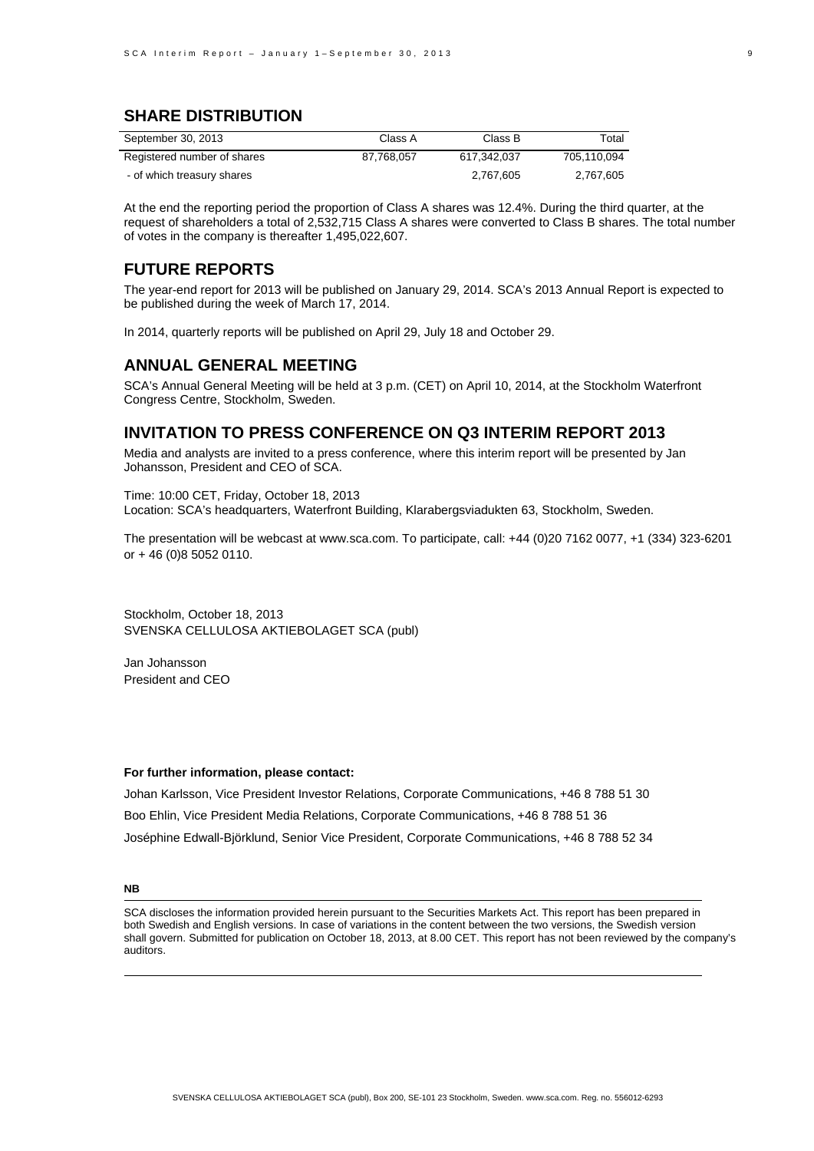### **SHARE DISTRIBUTION**

| September 30, 2013          | Class A    | Class B     | Total       |
|-----------------------------|------------|-------------|-------------|
| Registered number of shares | 87.768.057 | 617.342.037 | 705.110.094 |
| - of which treasury shares  |            | 2.767.605   | 2.767.605   |

At the end the reporting period the proportion of Class A shares was 12.4%. During the third quarter, at the request of shareholders a total of 2,532,715 Class A shares were converted to Class B shares. The total number of votes in the company is thereafter 1,495,022,607.

#### **FUTURE REPORTS**

The year-end report for 2013 will be published on January 29, 2014. SCA's 2013 Annual Report is expected to be published during the week of March 17, 2014.

In 2014, quarterly reports will be published on April 29, July 18 and October 29.

#### **ANNUAL GENERAL MEETING**

SCA's Annual General Meeting will be held at 3 p.m. (CET) on April 10, 2014, at the Stockholm Waterfront Congress Centre, Stockholm, Sweden.

#### **INVITATION TO PRESS CONFERENCE ON Q3 INTERIM REPORT 2013**

Media and analysts are invited to a press conference, where this interim report will be presented by Jan Johansson, President and CEO of SCA.

Time: 10:00 CET, Friday, October 18, 2013 Location: SCA's headquarters, Waterfront Building, Klarabergsviadukten 63, Stockholm, Sweden.

The presentation will be webcast at www.sca.com. To participate, call: +44 (0)20 7162 0077, +1 (334) 323-6201 or + 46 (0)8 5052 0110.

Stockholm, October 18, 2013 SVENSKA CELLULOSA AKTIEBOLAGET SCA (publ)

Jan Johansson President and CEO

#### **For further information, please contact:**

Johan Karlsson, Vice President Investor Relations, Corporate Communications, +46 8 788 51 30 Boo Ehlin, Vice President Media Relations, Corporate Communications, +46 8 788 51 36 Joséphine Edwall-Björklund, Senior Vice President, Corporate Communications, +46 8 788 52 34

#### **NB**

SCA discloses the information provided herein pursuant to the Securities Markets Act. This report has been prepared in both Swedish and English versions. In case of variations in the content between the two versions, the Swedish version shall govern. Submitted for publication on October 18, 2013, at 8.00 CET. This report has not been reviewed by the company's auditors.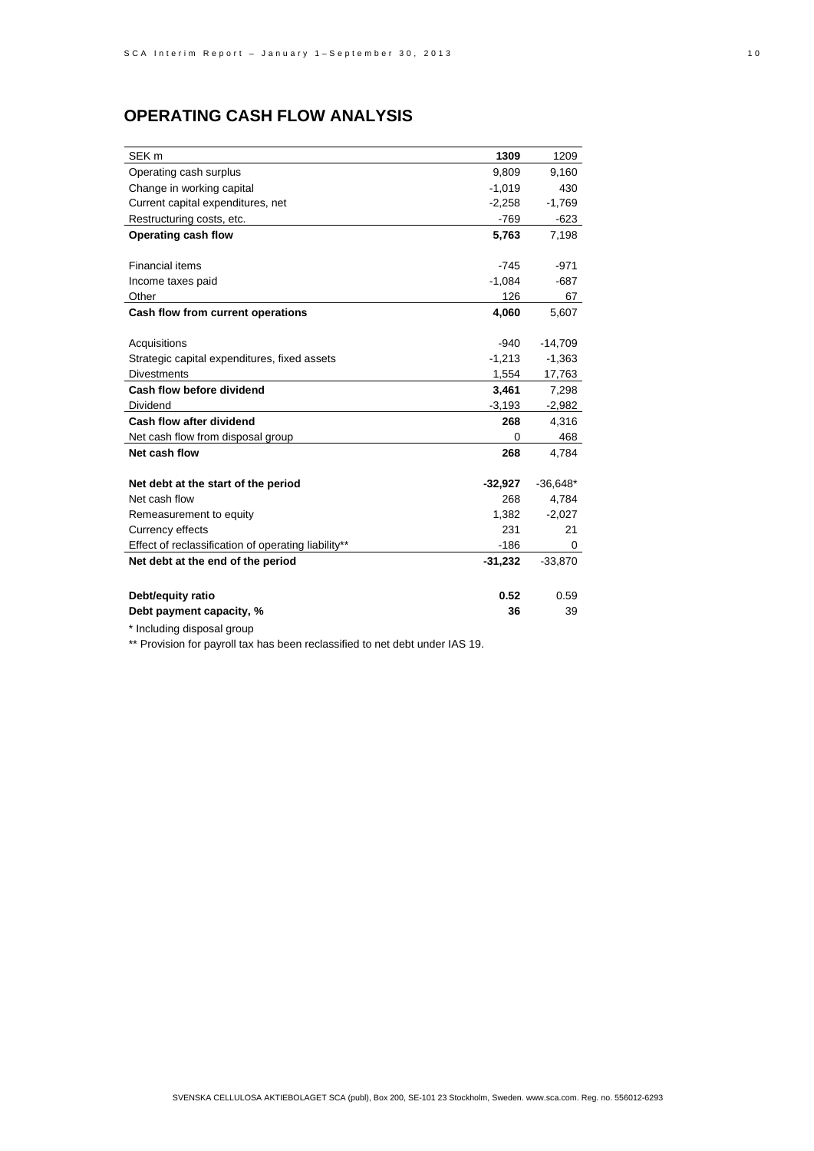## **OPERATING CASH FLOW ANALYSIS**

| SEK <sub>m</sub>                                    | 1309      | 1209       |
|-----------------------------------------------------|-----------|------------|
| Operating cash surplus                              | 9.809     | 9.160      |
| Change in working capital                           | $-1,019$  | 430        |
| Current capital expenditures, net                   | $-2,258$  | $-1,769$   |
| Restructuring costs, etc.                           | $-769$    | $-623$     |
| Operating cash flow                                 | 5,763     | 7,198      |
|                                                     |           |            |
| <b>Financial items</b>                              | $-745$    | $-971$     |
| Income taxes paid                                   | $-1,084$  | $-687$     |
| Other                                               | 126       | 67         |
| Cash flow from current operations                   | 4,060     | 5,607      |
|                                                     |           |            |
| Acquisitions                                        | $-940$    | $-14,709$  |
| Strategic capital expenditures, fixed assets        | $-1,213$  | $-1,363$   |
| <b>Divestments</b>                                  | 1,554     | 17,763     |
| Cash flow before dividend                           | 3,461     | 7,298      |
| Dividend                                            | $-3,193$  | -2,982     |
| Cash flow after dividend                            | 268       | 4,316      |
| Net cash flow from disposal group                   | 0         | 468        |
| Net cash flow                                       | 268       | 4,784      |
|                                                     |           |            |
| Net debt at the start of the period                 | $-32,927$ | $-36,648*$ |
| Net cash flow                                       | 268       | 4,784      |
| Remeasurement to equity                             | 1,382     | $-2,027$   |
| Currency effects                                    | 231       | 21         |
| Effect of reclassification of operating liability** | -186      | 0          |
| Net debt at the end of the period                   | $-31,232$ | $-33,870$  |
|                                                     |           |            |
| Debt/equity ratio                                   | 0.52      | 0.59       |
| Debt payment capacity, %                            | 36        | 39         |

\* Including disposal group

\*\* Provision for payroll tax has been reclassified to net debt under IAS 19.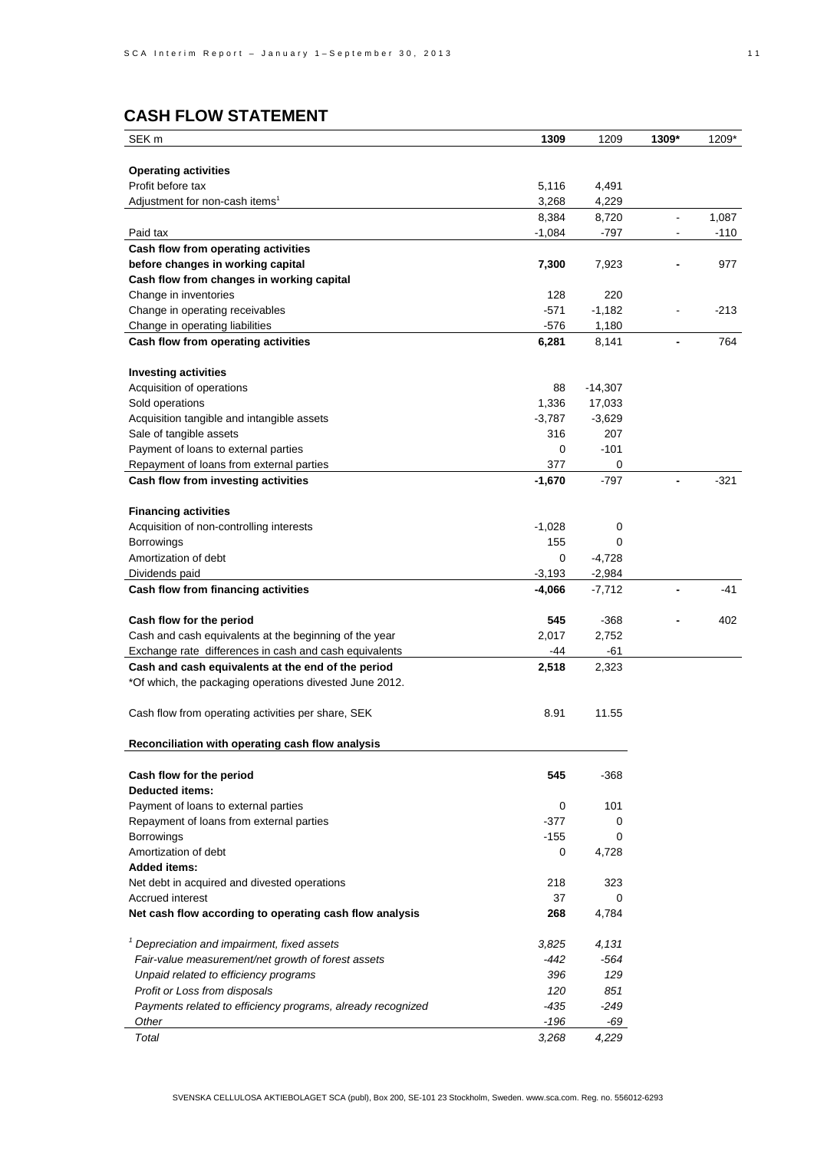## **CASH FLOW STATEMENT**

| SEK m                                                       | 1309     | 1209      | 1309*                    | 1209*  |
|-------------------------------------------------------------|----------|-----------|--------------------------|--------|
|                                                             |          |           |                          |        |
| <b>Operating activities</b>                                 |          |           |                          |        |
| Profit before tax                                           | 5,116    | 4,491     |                          |        |
| Adjustment for non-cash items <sup>1</sup>                  | 3,268    | 4,229     |                          |        |
|                                                             | 8,384    | 8,720     | $\overline{a}$           | 1,087  |
| Paid tax                                                    | $-1,084$ | -797      |                          | $-110$ |
| Cash flow from operating activities                         |          |           |                          |        |
| before changes in working capital                           | 7,300    | 7,923     |                          | 977    |
| Cash flow from changes in working capital                   |          |           |                          |        |
| Change in inventories                                       | 128      | 220       |                          |        |
| Change in operating receivables                             | $-571$   | $-1,182$  |                          | $-213$ |
| Change in operating liabilities                             | $-576$   | 1,180     |                          |        |
| Cash flow from operating activities                         | 6,281    | 8,141     | $\overline{\phantom{a}}$ | 764    |
| <b>Investing activities</b>                                 |          |           |                          |        |
| Acquisition of operations                                   | 88       | $-14,307$ |                          |        |
| Sold operations                                             | 1,336    | 17,033    |                          |        |
| Acquisition tangible and intangible assets                  | $-3,787$ | $-3,629$  |                          |        |
| Sale of tangible assets                                     | 316      | 207       |                          |        |
| Payment of loans to external parties                        | 0        | $-101$    |                          |        |
| Repayment of loans from external parties                    | 377      | 0         |                          |        |
| Cash flow from investing activities                         | $-1,670$ | $-797$    |                          | $-321$ |
| <b>Financing activities</b>                                 |          |           |                          |        |
| Acquisition of non-controlling interests                    | $-1,028$ | 0         |                          |        |
| Borrowings                                                  | 155      | 0         |                          |        |
| Amortization of debt                                        | 0        | $-4,728$  |                          |        |
| Dividends paid                                              | $-3,193$ | $-2,984$  |                          |        |
| Cash flow from financing activities                         | -4,066   | $-7,712$  |                          | $-41$  |
| Cash flow for the period                                    | 545      | $-368$    |                          | 402    |
| Cash and cash equivalents at the beginning of the year      | 2,017    | 2,752     |                          |        |
| Exchange rate differences in cash and cash equivalents      | -44      | -61       |                          |        |
| Cash and cash equivalents at the end of the period          | 2,518    | 2,323     |                          |        |
| *Of which, the packaging operations divested June 2012.     |          |           |                          |        |
|                                                             |          |           |                          |        |
| Cash flow from operating activities per share, SEK          | 8.91     | 11.55     |                          |        |
| Reconciliation with operating cash flow analysis            |          |           |                          |        |
|                                                             |          |           |                          |        |
| Cash flow for the period<br><b>Deducted items:</b>          | 545      | $-368$    |                          |        |
| Payment of loans to external parties                        | 0        | 101       |                          |        |
| Repayment of loans from external parties                    | $-377$   | 0         |                          |        |
|                                                             | $-155$   | 0         |                          |        |
| Borrowings<br>Amortization of debt                          | 0        | 4,728     |                          |        |
| <b>Added items:</b>                                         |          |           |                          |        |
| Net debt in acquired and divested operations                | 218      | 323       |                          |        |
| Accrued interest                                            | 37       | 0         |                          |        |
| Net cash flow according to operating cash flow analysis     | 268      | 4,784     |                          |        |
|                                                             |          |           |                          |        |
| <sup>1</sup> Depreciation and impairment, fixed assets      | 3,825    | 4,131     |                          |        |
| Fair-value measurement/net growth of forest assets          | -442     | -564      |                          |        |
| Unpaid related to efficiency programs                       | 396      | 129       |                          |        |
| Profit or Loss from disposals                               | 120      | 851       |                          |        |
| Payments related to efficiency programs, already recognized | -435     | -249      |                          |        |
| Other                                                       | $-196$   | -69       |                          |        |
| Total                                                       | 3,268    | 4,229     |                          |        |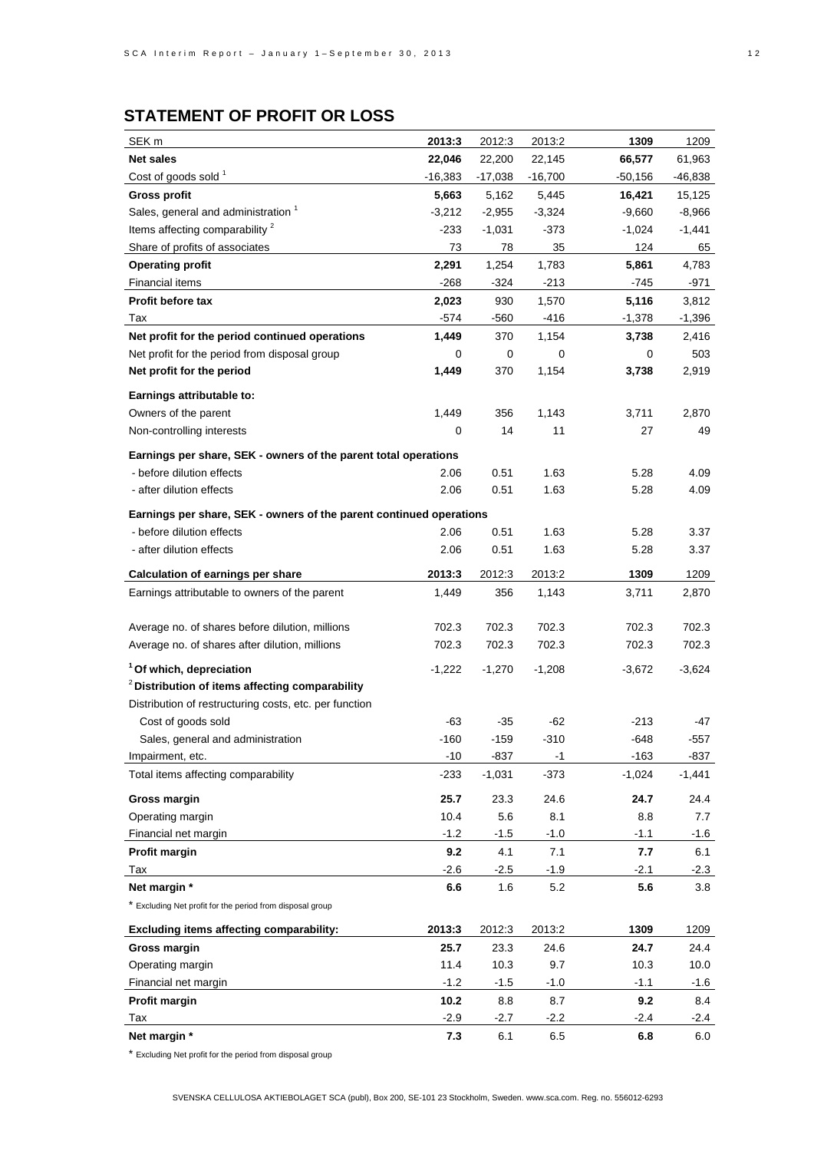# **STATEMENT OF PROFIT OR LOSS**

| SEK <sub>m</sub>                                                    | 2013:3        | 2012:3           | 2013:2         | 1309           | 1209         |
|---------------------------------------------------------------------|---------------|------------------|----------------|----------------|--------------|
| <b>Net sales</b>                                                    | 22,046        | 22,200           | 22,145         | 66,577         | 61,963       |
| Cost of goods sold <sup>1</sup>                                     | -16,383       | $-17,038$        | $-16,700$      | $-50,156$      | -46,838      |
| <b>Gross profit</b>                                                 | 5,663         | 5,162            | 5,445          | 16,421         | 15,125       |
| Sales, general and administration <sup>1</sup>                      | $-3,212$      | $-2,955$         | $-3,324$       | $-9,660$       | $-8,966$     |
| Items affecting comparability <sup>2</sup>                          | -233          | $-1,031$         | -373           | $-1,024$       | $-1,441$     |
| Share of profits of associates                                      | 73            | 78               | 35             | 124            | 65           |
| <b>Operating profit</b>                                             | 2,291         | 1,254            | 1,783          | 5,861          | 4,783        |
| <b>Financial items</b>                                              | -268          | -324             | $-213$         | -745           | -971         |
| <b>Profit before tax</b>                                            | 2,023         | 930              | 1,570          | 5,116          | 3,812        |
| Tax                                                                 | $-574$        | -560             | -416           | $-1,378$       | $-1,396$     |
| Net profit for the period continued operations                      | 1,449         | 370              | 1,154          | 3,738          | 2,416        |
| Net profit for the period from disposal group                       | 0             | 0                | 0              | 0              | 503          |
| Net profit for the period                                           | 1,449         | 370              | 1,154          | 3,738          | 2,919        |
| Earnings attributable to:                                           |               |                  |                |                |              |
| Owners of the parent                                                | 1,449         | 356              | 1,143          | 3,711          | 2,870        |
| Non-controlling interests                                           | 0             | 14               | 11             | 27             | 49           |
|                                                                     |               |                  |                |                |              |
| Earnings per share, SEK - owners of the parent total operations     |               |                  |                |                |              |
| - before dilution effects                                           | 2.06          | 0.51             | 1.63           | 5.28           | 4.09         |
| - after dilution effects                                            | 2.06          | 0.51             | 1.63           | 5.28           | 4.09         |
| Earnings per share, SEK - owners of the parent continued operations |               |                  |                |                |              |
| - before dilution effects                                           | 2.06          | 0.51             | 1.63           | 5.28           | 3.37         |
| - after dilution effects                                            | 2.06          | 0.51             | 1.63           | 5.28           | 3.37         |
| <b>Calculation of earnings per share</b>                            | 2013:3        | 2012:3           | 2013:2         | 1309           | 1209         |
| Earnings attributable to owners of the parent                       | 1,449         | 356              | 1,143          | 3,711          | 2,870        |
|                                                                     |               |                  |                |                |              |
| Average no. of shares before dilution, millions                     | 702.3         | 702.3            | 702.3          | 702.3          | 702.3        |
| Average no. of shares after dilution, millions                      | 702.3         | 702.3            | 702.3          | 702.3          | 702.3        |
|                                                                     |               |                  |                |                |              |
| <sup>1</sup> Of which, depreciation                                 | $-1,222$      | $-1,270$         | $-1,208$       | $-3,672$       | $-3,624$     |
| <sup>2</sup> Distribution of items affecting comparability          |               |                  |                |                |              |
| Distribution of restructuring costs, etc. per function              |               |                  |                |                |              |
| Cost of goods sold                                                  | -63           | -35              | -62            | $-213$         | -47          |
| Sales, general and administration<br>Impairment, etc.               | -160<br>$-10$ | $-159$<br>$-837$ | $-310$<br>$-1$ | -648<br>$-163$ | -557<br>-837 |
| Total items affecting comparability                                 | $-233$        | $-1,031$         | $-373$         | $-1,024$       | $-1,441$     |
|                                                                     |               |                  |                |                |              |
| <b>Gross margin</b>                                                 | 25.7          | 23.3             | 24.6           | 24.7           | 24.4         |
| Operating margin                                                    | 10.4          | 5.6              | 8.1            | 8.8            | 7.7          |
| Financial net margin                                                | $-1.2$        | $-1.5$           | $-1.0$         | $-1.1$         | $-1.6$       |
| Profit margin                                                       | 9.2           | 4.1              | 7.1            | 7.7            | 6.1          |
| Tax                                                                 | $-2.6$        | $-2.5$           | $-1.9$         | $-2.1$         | $-2.3$       |
| Net margin *                                                        | 6.6           | 1.6              | 5.2            | 5.6            | 3.8          |
| * Excluding Net profit for the period from disposal group           |               |                  |                |                |              |
| <b>Excluding items affecting comparability:</b>                     | 2013:3        | 2012:3           | 2013:2         | 1309           | 1209         |
| Gross margin                                                        | 25.7          | 23.3             | 24.6           | 24.7           | 24.4         |
| Operating margin                                                    | 11.4          | 10.3             | 9.7            | 10.3           | 10.0         |
| Financial net margin                                                | $-1.2$        | $-1.5$           | $-1.0$         | $-1.1$         | $-1.6$       |
| Profit margin                                                       | 10.2          | 8.8              | 8.7            | 9.2            | 8.4          |
| Tax                                                                 | $-2.9$        | -2.7             | $-2.2$         | -2.4           | $-2.4$       |
| Net margin *                                                        | 7.3           | 6.1              | 6.5            | 6.8            | 6.0          |

\* Excluding Net profit for the period from disposal group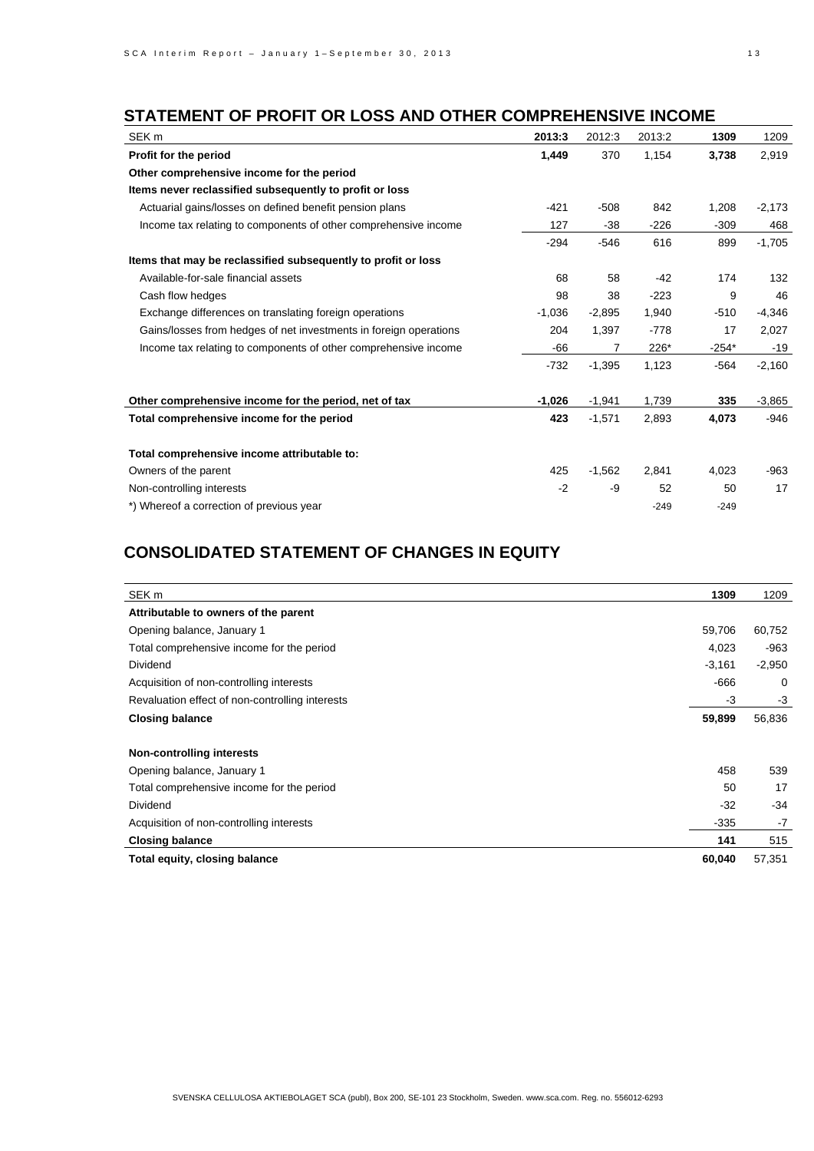## **STATEMENT OF PROFIT OR LOSS AND OTHER COMPREHENSIVE INCOME**

| SEK <sub>m</sub>                                                  | 2013:3   | 2012:3   | 2013:2 | 1309    | 1209     |
|-------------------------------------------------------------------|----------|----------|--------|---------|----------|
| Profit for the period                                             | 1,449    | 370      | 1,154  | 3,738   | 2,919    |
| Other comprehensive income for the period                         |          |          |        |         |          |
| Items never reclassified subsequently to profit or loss           |          |          |        |         |          |
| Actuarial gains/losses on defined benefit pension plans           | $-421$   | $-508$   | 842    | 1,208   | $-2,173$ |
| Income tax relating to components of other comprehensive income   | 127      | $-38$    | $-226$ | $-309$  | 468      |
|                                                                   | $-294$   | $-546$   | 616    | 899     | $-1,705$ |
| Items that may be reclassified subsequently to profit or loss     |          |          |        |         |          |
| Available-for-sale financial assets                               | 68       | 58       | $-42$  | 174     | 132      |
| Cash flow hedges                                                  | 98       | 38       | $-223$ | 9       | 46       |
| Exchange differences on translating foreign operations            | $-1,036$ | $-2,895$ | 1,940  | $-510$  | $-4,346$ |
| Gains/losses from hedges of net investments in foreign operations | 204      | 1,397    | $-778$ | 17      | 2,027    |
| Income tax relating to components of other comprehensive income   | $-66$    | 7        | 226*   | $-254*$ | $-19$    |
|                                                                   | $-732$   | $-1,395$ | 1,123  | $-564$  | $-2,160$ |
| Other comprehensive income for the period, net of tax             | $-1,026$ | $-1,941$ | 1,739  | 335     | $-3,865$ |
| Total comprehensive income for the period                         | 423      | $-1,571$ | 2,893  | 4,073   | $-946$   |
| Total comprehensive income attributable to:                       |          |          |        |         |          |
| Owners of the parent                                              | 425      | $-1,562$ | 2,841  | 4,023   | $-963$   |
| Non-controlling interests                                         | $-2$     | -9       | 52     | 50      | 17       |
| *) Whereof a correction of previous year                          |          |          | $-249$ | $-249$  |          |

## **CONSOLIDATED STATEMENT OF CHANGES IN EQUITY**

| SEK <sub>m</sub>                                | 1309     | 1209     |
|-------------------------------------------------|----------|----------|
| Attributable to owners of the parent            |          |          |
| Opening balance, January 1                      | 59,706   | 60,752   |
| Total comprehensive income for the period       | 4,023    | -963     |
| <b>Dividend</b>                                 | $-3,161$ | $-2,950$ |
| Acquisition of non-controlling interests        | $-666$   | 0        |
| Revaluation effect of non-controlling interests | -3       | $-3$     |
| <b>Closing balance</b>                          | 59,899   | 56,836   |
| Non-controlling interests                       |          |          |
| Opening balance, January 1                      | 458      | 539      |
| Total comprehensive income for the period       | 50       | 17       |
| <b>Dividend</b>                                 | $-32$    | $-34$    |
| Acquisition of non-controlling interests        | $-335$   | $-7$     |
| <b>Closing balance</b>                          | 141      | 515      |
| Total equity, closing balance                   | 60,040   | 57,351   |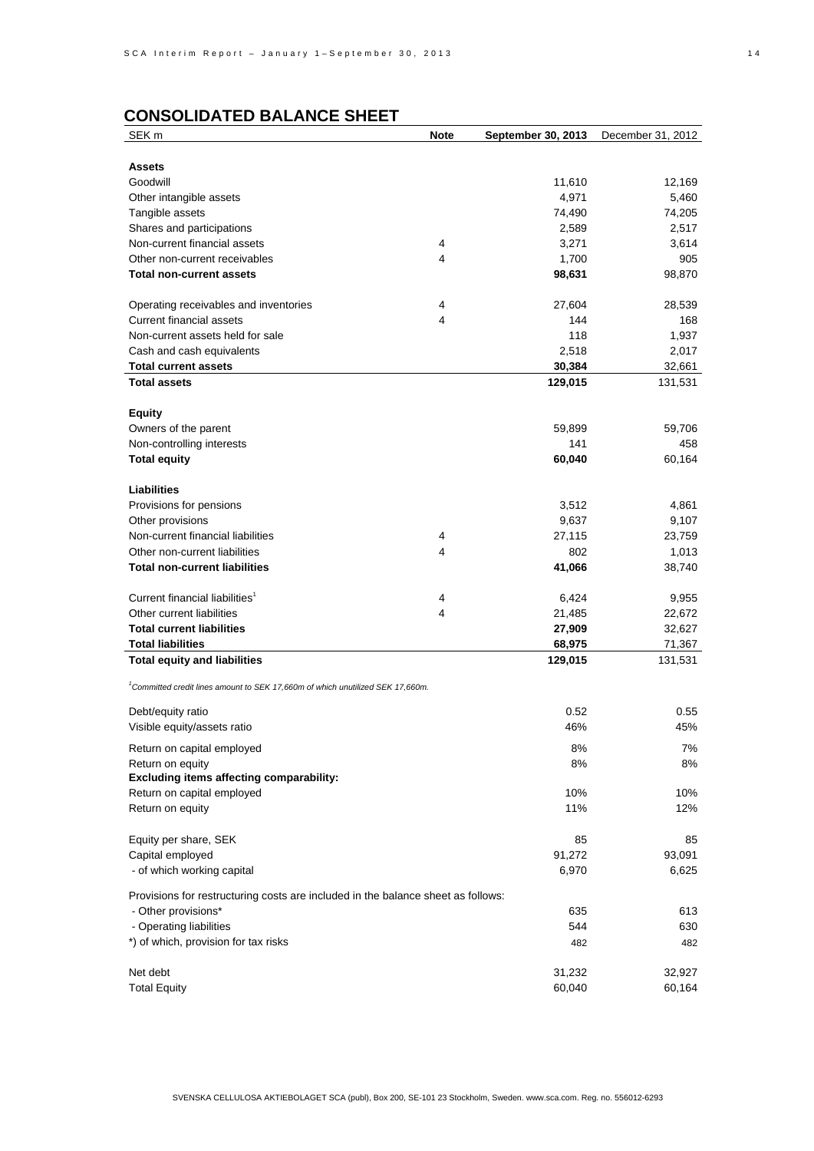# **CONSOLIDATED BALANCE SHEET**

| SEK <sub>m</sub>                                                                           | <b>Note</b> | September 30, 2013 | December 31, 2012 |
|--------------------------------------------------------------------------------------------|-------------|--------------------|-------------------|
|                                                                                            |             |                    |                   |
| <b>Assets</b>                                                                              |             |                    |                   |
| Goodwill                                                                                   |             | 11,610             | 12,169            |
| Other intangible assets                                                                    |             | 4,971              | 5,460             |
| Tangible assets                                                                            |             | 74,490             | 74,205            |
| Shares and participations                                                                  |             | 2,589              | 2,517             |
| Non-current financial assets                                                               | 4           | 3,271              | 3,614             |
| Other non-current receivables                                                              | 4           | 1,700              | 905               |
| <b>Total non-current assets</b>                                                            |             | 98,631             | 98,870            |
|                                                                                            |             |                    |                   |
| Operating receivables and inventories                                                      | 4           | 27,604             | 28,539            |
| <b>Current financial assets</b>                                                            | 4           | 144                | 168               |
| Non-current assets held for sale                                                           |             | 118                | 1,937             |
| Cash and cash equivalents                                                                  |             | 2,518              | 2,017             |
| <b>Total current assets</b>                                                                |             | 30,384             | 32,661            |
| <b>Total assets</b>                                                                        |             | 129,015            | 131,531           |
|                                                                                            |             |                    |                   |
| <b>Equity</b>                                                                              |             |                    |                   |
| Owners of the parent                                                                       |             | 59,899             | 59,706            |
| Non-controlling interests                                                                  |             | 141                | 458               |
| <b>Total equity</b>                                                                        |             | 60,040             | 60,164            |
|                                                                                            |             |                    |                   |
| <b>Liabilities</b>                                                                         |             |                    |                   |
| Provisions for pensions                                                                    |             | 3,512              | 4,861             |
| Other provisions                                                                           |             | 9,637              | 9,107             |
| Non-current financial liabilities                                                          | 4           | 27,115             | 23,759            |
| Other non-current liabilities                                                              | 4           | 802                | 1,013             |
| <b>Total non-current liabilities</b>                                                       |             | 41,066             | 38,740            |
|                                                                                            |             |                    |                   |
| Current financial liabilities <sup>1</sup>                                                 | 4           | 6,424              | 9,955             |
| Other current liabilities                                                                  | 4           | 21,485             | 22,672            |
| <b>Total current liabilities</b>                                                           |             | 27,909             | 32,627            |
| <b>Total liabilities</b>                                                                   |             | 68,975             | 71,367            |
| <b>Total equity and liabilities</b>                                                        |             | 129,015            | 131,531           |
|                                                                                            |             |                    |                   |
| <sup>1</sup> Committed credit lines amount to SEK 17,660m of which unutilized SEK 17,660m. |             |                    |                   |
| Debt/equity ratio                                                                          |             | 0.52               | 0.55              |
| Visible equity/assets ratio                                                                |             | 46%                | 45%               |
|                                                                                            |             |                    |                   |
| Return on capital employed                                                                 |             | 8%                 | 7%                |
| Return on equity                                                                           |             | 8%                 | 8%                |
| <b>Excluding items affecting comparability:</b>                                            |             |                    |                   |
| Return on capital employed                                                                 |             | 10%                | 10%               |
| Return on equity                                                                           |             | 11%                | 12%               |
|                                                                                            |             |                    |                   |
| Equity per share, SEK                                                                      |             | 85                 | 85                |
| Capital employed                                                                           |             | 91,272             | 93,091            |
| - of which working capital                                                                 |             | 6,970              | 6,625             |
| Provisions for restructuring costs are included in the balance sheet as follows:           |             |                    |                   |
| - Other provisions*                                                                        |             | 635                | 613               |
| - Operating liabilities                                                                    |             | 544                | 630               |
| *) of which, provision for tax risks                                                       |             | 482                | 482               |
|                                                                                            |             |                    |                   |
| Net debt                                                                                   |             | 31,232             | 32,927            |
| <b>Total Equity</b>                                                                        |             | 60,040             | 60,164            |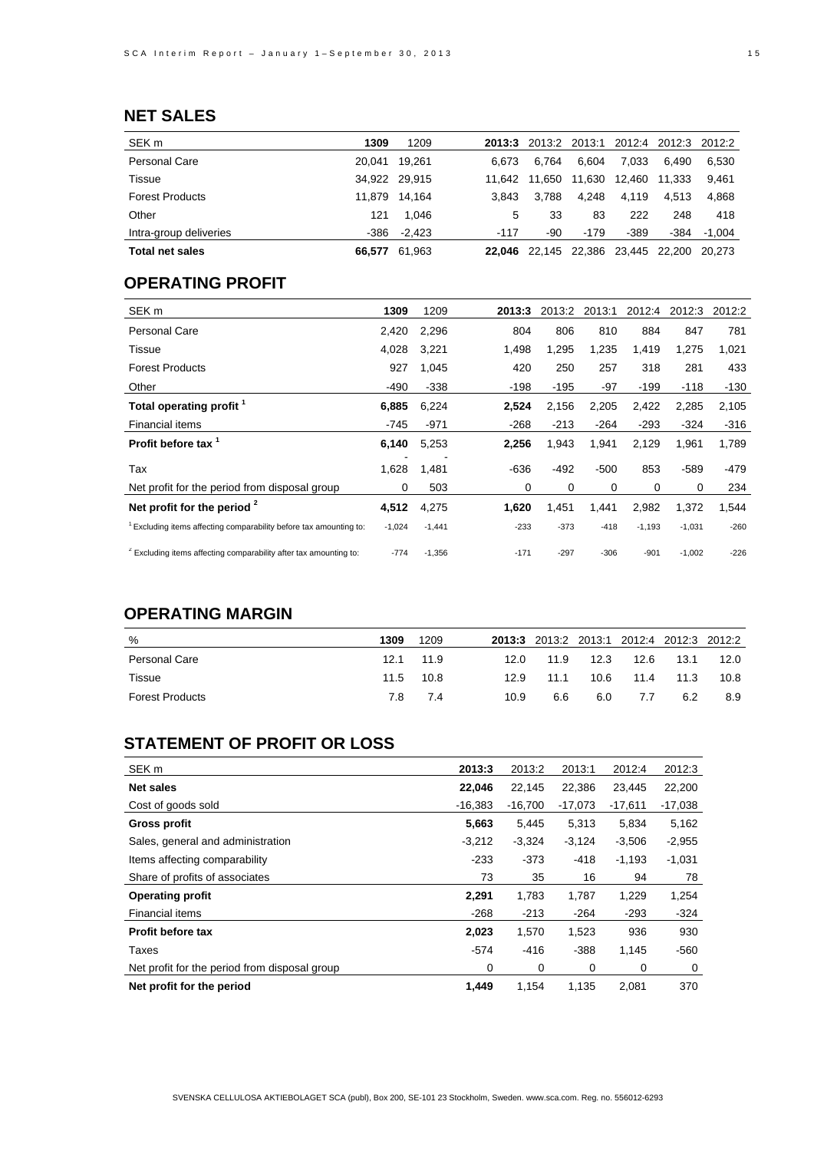## **NET SALES**

| SEK <sub>m</sub>       | 1309   | 1209          | 2013:3 | 2013:2        | 2013:1 |        | 2012:4 2012:3 2012:2 |          |
|------------------------|--------|---------------|--------|---------------|--------|--------|----------------------|----------|
| Personal Care          | 20.041 | 19.261        | 6.673  | 6.764         | 6.604  | 7.033  | 6.490                | 6.530    |
| Tissue                 |        | 34.922 29.915 | 11.642 | 11.650        | 11.630 | 12.460 | 11.333               | 9.461    |
| <b>Forest Products</b> |        | 11.879 14.164 | 3.843  | 3.788         | 4.248  | 4.119  | 4.513                | 4.868    |
| Other                  | 121    | 1.046         | 5      | 33            | 83     | 222    | 248                  | 418      |
| Intra-group deliveries | -386   | $-2.423$      | $-117$ | -90           | $-179$ | $-389$ | -384                 | $-1.004$ |
| <b>Total net sales</b> | 66.577 | 61,963        | 22.046 | 22,145 22,386 |        | 23,445 | 22.200               | 20.273   |

## **OPERATING PROFIT**

| SEK <sub>m</sub>                                                              | 1309     | 1209     | 2013:3 | 2013:2 | 2013:1 | 2012:4   | 2012:3   | 2012:2 |
|-------------------------------------------------------------------------------|----------|----------|--------|--------|--------|----------|----------|--------|
| <b>Personal Care</b>                                                          | 2,420    | 2,296    | 804    | 806    | 810    | 884      | 847      | 781    |
| Tissue                                                                        | 4,028    | 3,221    | 1,498  | 1,295  | 1,235  | 1,419    | 1,275    | 1,021  |
| <b>Forest Products</b>                                                        | 927      | 1,045    | 420    | 250    | 257    | 318      | 281      | 433    |
| Other                                                                         | -490     | $-338$   | $-198$ | $-195$ | -97    | -199     | $-118$   | $-130$ |
| Total operating profit <sup>1</sup>                                           | 6,885    | 6,224    | 2,524  | 2,156  | 2,205  | 2,422    | 2,285    | 2,105  |
| Financial items                                                               | $-745$   | $-971$   | $-268$ | $-213$ | $-264$ | $-293$   | $-324$   | $-316$ |
| Profit before tax <sup>1</sup>                                                | 6,140    | 5,253    | 2,256  | 1,943  | 1,941  | 2,129    | 1,961    | 1,789  |
| Tax                                                                           | 1,628    | 1,481    | $-636$ | $-492$ | $-500$ | 853      | $-589$   | $-479$ |
| Net profit for the period from disposal group                                 | 0        | 503      | 0      | 0      | 0      | 0        | $\Omega$ | 234    |
| Net profit for the period $2$                                                 | 4,512    | 4,275    | 1,620  | 1,451  | 1,441  | 2,982    | 1,372    | 1,544  |
| <sup>1</sup> Excluding items affecting comparability before tax amounting to: | $-1,024$ | $-1,441$ | $-233$ | $-373$ | $-418$ | $-1,193$ | $-1,031$ | $-260$ |
| <sup>2</sup> Excluding items affecting comparability after tax amounting to:  | $-774$   | $-1,356$ | $-171$ | $-297$ | $-306$ | $-901$   | $-1,002$ | $-226$ |

## **OPERATING MARGIN**

| %                      | 1309 | 1209      |      | 2013:3 2013:2 2013:1 2012:4 2012:3 2012:2 |      |           |      |      |
|------------------------|------|-----------|------|-------------------------------------------|------|-----------|------|------|
| <b>Personal Care</b>   |      | 12.1 11.9 | 12.0 | 11.9                                      | 12.3 | 12.6      | 13.1 | 12.0 |
| Tissue                 |      | 11.5 10.8 | 12.9 | 11.1                                      |      | 10.6 11.4 | 11.3 | 10.8 |
| <b>Forest Products</b> | 7.8  | 7.4       | 10.9 | 6.6                                       | 6.0  | 7.7       | 6.2  | 8.9  |

## **STATEMENT OF PROFIT OR LOSS**

| SEK <sub>m</sub>                              | 2013:3    | 2013:2    | 2013:1    | 2012:4    | 2012:3    |
|-----------------------------------------------|-----------|-----------|-----------|-----------|-----------|
| <b>Net sales</b>                              | 22,046    | 22,145    | 22,386    | 23,445    | 22,200    |
| Cost of goods sold                            | $-16.383$ | $-16,700$ | $-17,073$ | $-17,611$ | $-17,038$ |
| Gross profit                                  | 5,663     | 5,445     | 5,313     | 5,834     | 5,162     |
| Sales, general and administration             | $-3,212$  | $-3,324$  | $-3,124$  | $-3,506$  | $-2,955$  |
| Items affecting comparability                 | $-233$    | $-373$    | $-418$    | $-1,193$  | $-1,031$  |
| Share of profits of associates                | 73        | 35        | 16        | 94        | 78        |
| <b>Operating profit</b>                       | 2,291     | 1,783     | 1,787     | 1,229     | 1,254     |
| Financial items                               | $-268$    | $-213$    | $-264$    | $-293$    | $-324$    |
| <b>Profit before tax</b>                      | 2,023     | 1,570     | 1,523     | 936       | 930       |
| Taxes                                         | $-574$    | $-416$    | $-388$    | 1,145     | $-560$    |
| Net profit for the period from disposal group | 0         | 0         | 0         | 0         | 0         |
| Net profit for the period                     | 1,449     | 1,154     | 1,135     | 2,081     | 370       |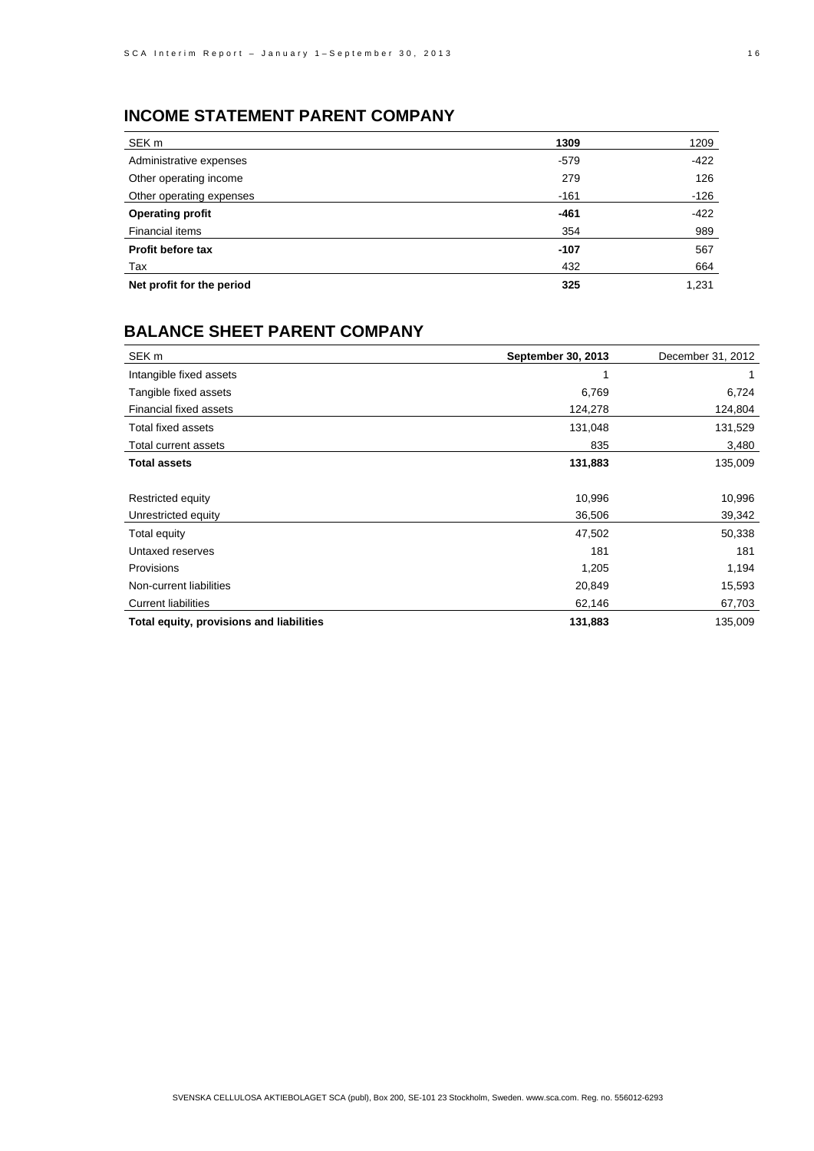## **INCOME STATEMENT PARENT COMPANY**

| SEK m                     | 1309   | 1209   |
|---------------------------|--------|--------|
| Administrative expenses   | $-579$ | $-422$ |
| Other operating income    | 279    | 126    |
| Other operating expenses  | $-161$ | -126   |
| <b>Operating profit</b>   | $-461$ | $-422$ |
| Financial items           | 354    | 989    |
| Profit before tax         | $-107$ | 567    |
| Tax                       | 432    | 664    |
| Net profit for the period | 325    | 1,231  |

### **BALANCE SHEET PARENT COMPANY**

| SEK <sub>m</sub>                         | September 30, 2013 | December 31, 2012 |
|------------------------------------------|--------------------|-------------------|
| Intangible fixed assets                  |                    |                   |
| Tangible fixed assets                    | 6,769              | 6,724             |
| <b>Financial fixed assets</b>            | 124,278            | 124,804           |
| Total fixed assets                       | 131,048            | 131,529           |
| Total current assets                     | 835                | 3,480             |
| <b>Total assets</b>                      | 131,883            | 135,009           |
|                                          |                    |                   |
| Restricted equity                        | 10,996             | 10,996            |
| Unrestricted equity                      | 36,506             | 39,342            |
| Total equity                             | 47,502             | 50,338            |
| Untaxed reserves                         | 181                | 181               |
| Provisions                               | 1,205              | 1,194             |
| Non-current liabilities                  | 20,849             | 15,593            |
| <b>Current liabilities</b>               | 62,146             | 67,703            |
| Total equity, provisions and liabilities | 131,883            | 135,009           |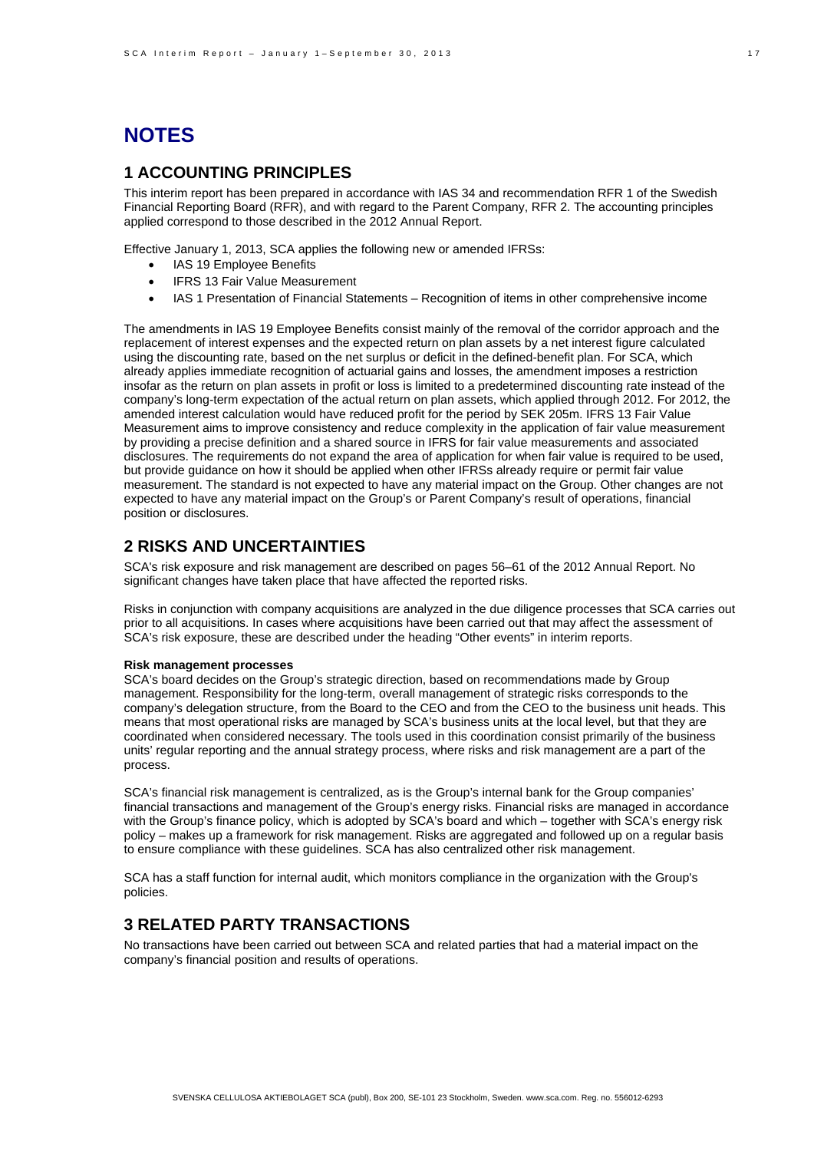# **NOTES**

#### **1 ACCOUNTING PRINCIPLES**

This interim report has been prepared in accordance with IAS 34 and recommendation RFR 1 of the Swedish Financial Reporting Board (RFR), and with regard to the Parent Company, RFR 2. The accounting principles applied correspond to those described in the 2012 Annual Report.

Effective January 1, 2013, SCA applies the following new or amended IFRSs:

- IAS 19 Employee Benefits
- IFRS 13 Fair Value Measurement
- IAS 1 Presentation of Financial Statements Recognition of items in other comprehensive income

The amendments in IAS 19 Employee Benefits consist mainly of the removal of the corridor approach and the replacement of interest expenses and the expected return on plan assets by a net interest figure calculated using the discounting rate, based on the net surplus or deficit in the defined-benefit plan. For SCA, which already applies immediate recognition of actuarial gains and losses, the amendment imposes a restriction insofar as the return on plan assets in profit or loss is limited to a predetermined discounting rate instead of the company's long-term expectation of the actual return on plan assets, which applied through 2012. For 2012, the amended interest calculation would have reduced profit for the period by SEK 205m. IFRS 13 Fair Value Measurement aims to improve consistency and reduce complexity in the application of fair value measurement by providing a precise definition and a shared source in IFRS for fair value measurements and associated disclosures. The requirements do not expand the area of application for when fair value is required to be used, but provide guidance on how it should be applied when other IFRSs already require or permit fair value measurement. The standard is not expected to have any material impact on the Group. Other changes are not expected to have any material impact on the Group's or Parent Company's result of operations, financial position or disclosures.

### **2 RISKS AND UNCERTAINTIES**

SCA's risk exposure and risk management are described on pages 56–61 of the 2012 Annual Report. No significant changes have taken place that have affected the reported risks.

Risks in conjunction with company acquisitions are analyzed in the due diligence processes that SCA carries out prior to all acquisitions. In cases where acquisitions have been carried out that may affect the assessment of SCA's risk exposure, these are described under the heading "Other events" in interim reports.

#### **Risk management processes**

SCA's board decides on the Group's strategic direction, based on recommendations made by Group management. Responsibility for the long-term, overall management of strategic risks corresponds to the company's delegation structure, from the Board to the CEO and from the CEO to the business unit heads. This means that most operational risks are managed by SCA's business units at the local level, but that they are coordinated when considered necessary. The tools used in this coordination consist primarily of the business units' regular reporting and the annual strategy process, where risks and risk management are a part of the process.

SCA's financial risk management is centralized, as is the Group's internal bank for the Group companies' financial transactions and management of the Group's energy risks. Financial risks are managed in accordance with the Group's finance policy, which is adopted by SCA's board and which – together with SCA's energy risk policy – makes up a framework for risk management. Risks are aggregated and followed up on a regular basis to ensure compliance with these guidelines. SCA has also centralized other risk management.

SCA has a staff function for internal audit, which monitors compliance in the organization with the Group's policies.

#### **3 RELATED PARTY TRANSACTIONS**

No transactions have been carried out between SCA and related parties that had a material impact on the company's financial position and results of operations.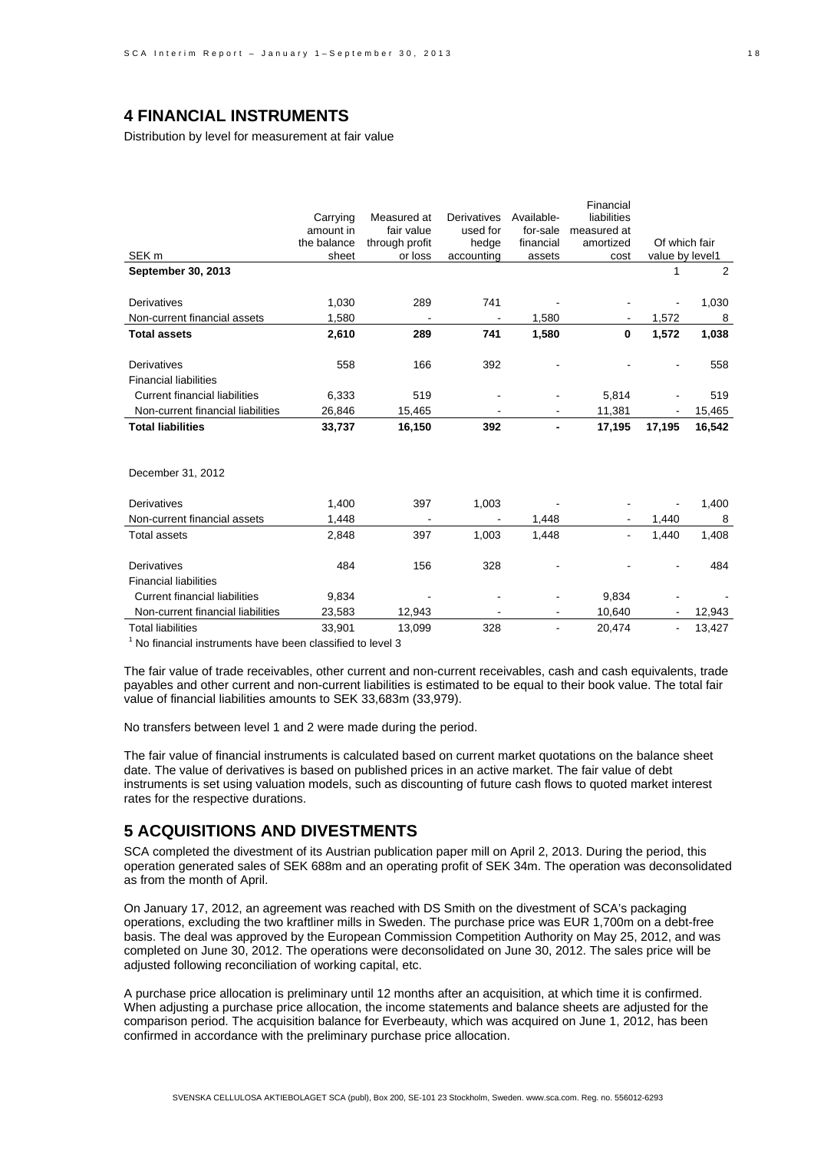### **4 FINANCIAL INSTRUMENTS**

Distribution by level for measurement at fair value

|                                      |             |                          |                          |            | Financial   |                 |        |
|--------------------------------------|-------------|--------------------------|--------------------------|------------|-------------|-----------------|--------|
|                                      | Carrying    | Measured at              | <b>Derivatives</b>       | Available- | liabilities |                 |        |
|                                      | amount in   | fair value               | used for                 | for-sale   | measured at |                 |        |
|                                      | the balance | through profit           | hedge                    | financial  | amortized   | Of which fair   |        |
| SEK <sub>m</sub>                     | sheet       | or loss                  | accounting               | assets     | cost        | value by level1 |        |
| September 30, 2013                   |             |                          |                          |            |             | 1               | 2      |
|                                      |             |                          |                          |            |             |                 |        |
| Derivatives                          | 1,030       | 289                      | 741                      |            |             |                 | 1,030  |
| Non-current financial assets         | 1,580       |                          |                          | 1,580      |             | 1,572           | 8      |
| <b>Total assets</b>                  | 2,610       | 289                      | 741                      | 1,580      | 0           | 1,572           | 1,038  |
|                                      |             |                          |                          |            |             |                 |        |
| Derivatives                          | 558         | 166                      | 392                      |            |             |                 | 558    |
| <b>Financial liabilities</b>         |             |                          |                          |            |             |                 |        |
| <b>Current financial liabilities</b> | 6,333       | 519                      |                          |            | 5,814       |                 | 519    |
| Non-current financial liabilities    | 26,846      | 15,465                   |                          |            | 11,381      |                 | 15,465 |
| <b>Total liabilities</b>             | 33,737      | 16,150                   | 392                      |            | 17,195      | 17,195          | 16,542 |
|                                      |             |                          |                          |            |             |                 |        |
|                                      |             |                          |                          |            |             |                 |        |
| December 31, 2012                    |             |                          |                          |            |             |                 |        |
|                                      |             |                          |                          |            |             |                 |        |
| Derivatives                          | 1,400       | 397                      | 1,003                    |            |             |                 | 1,400  |
| Non-current financial assets         | 1,448       | $\overline{\phantom{a}}$ | $\overline{\phantom{a}}$ | 1,448      |             | 1,440           | 8      |
| <b>Total assets</b>                  | 2,848       | 397                      | 1,003                    | 1,448      |             | 1,440           | 1,408  |
|                                      |             |                          |                          |            |             |                 |        |
| Derivatives                          | 484         | 156                      | 328                      |            |             |                 | 484    |
| <b>Financial liabilities</b>         |             |                          |                          |            |             |                 |        |
| <b>Current financial liabilities</b> | 9,834       |                          |                          |            | 9,834       |                 |        |
| Non-current financial liabilities    | 23,583      | 12,943                   |                          | ٠          | 10,640      | $\blacksquare$  | 12,943 |
| <b>Total liabilities</b>             | 33,901      | 13,099                   | 328                      | ٠          | 20,474      |                 | 13,427 |
|                                      |             |                          |                          |            |             |                 |        |

<sup>1</sup> No financial instruments have been classified to level 3

The fair value of trade receivables, other current and non-current receivables, cash and cash equivalents, trade payables and other current and non-current liabilities is estimated to be equal to their book value. The total fair value of financial liabilities amounts to SEK 33,683m (33,979).

No transfers between level 1 and 2 were made during the period.

The fair value of financial instruments is calculated based on current market quotations on the balance sheet date. The value of derivatives is based on published prices in an active market. The fair value of debt instruments is set using valuation models, such as discounting of future cash flows to quoted market interest rates for the respective durations.

#### **5 ACQUISITIONS AND DIVESTMENTS**

SCA completed the divestment of its Austrian publication paper mill on April 2, 2013. During the period, this operation generated sales of SEK 688m and an operating profit of SEK 34m. The operation was deconsolidated as from the month of April.

On January 17, 2012, an agreement was reached with DS Smith on the divestment of SCA's packaging operations, excluding the two kraftliner mills in Sweden. The purchase price was EUR 1,700m on a debt-free basis. The deal was approved by the European Commission Competition Authority on May 25, 2012, and was completed on June 30, 2012. The operations were deconsolidated on June 30, 2012. The sales price will be adjusted following reconciliation of working capital, etc.

A purchase price allocation is preliminary until 12 months after an acquisition, at which time it is confirmed. When adjusting a purchase price allocation, the income statements and balance sheets are adjusted for the comparison period. The acquisition balance for Everbeauty, which was acquired on June 1, 2012, has been confirmed in accordance with the preliminary purchase price allocation.